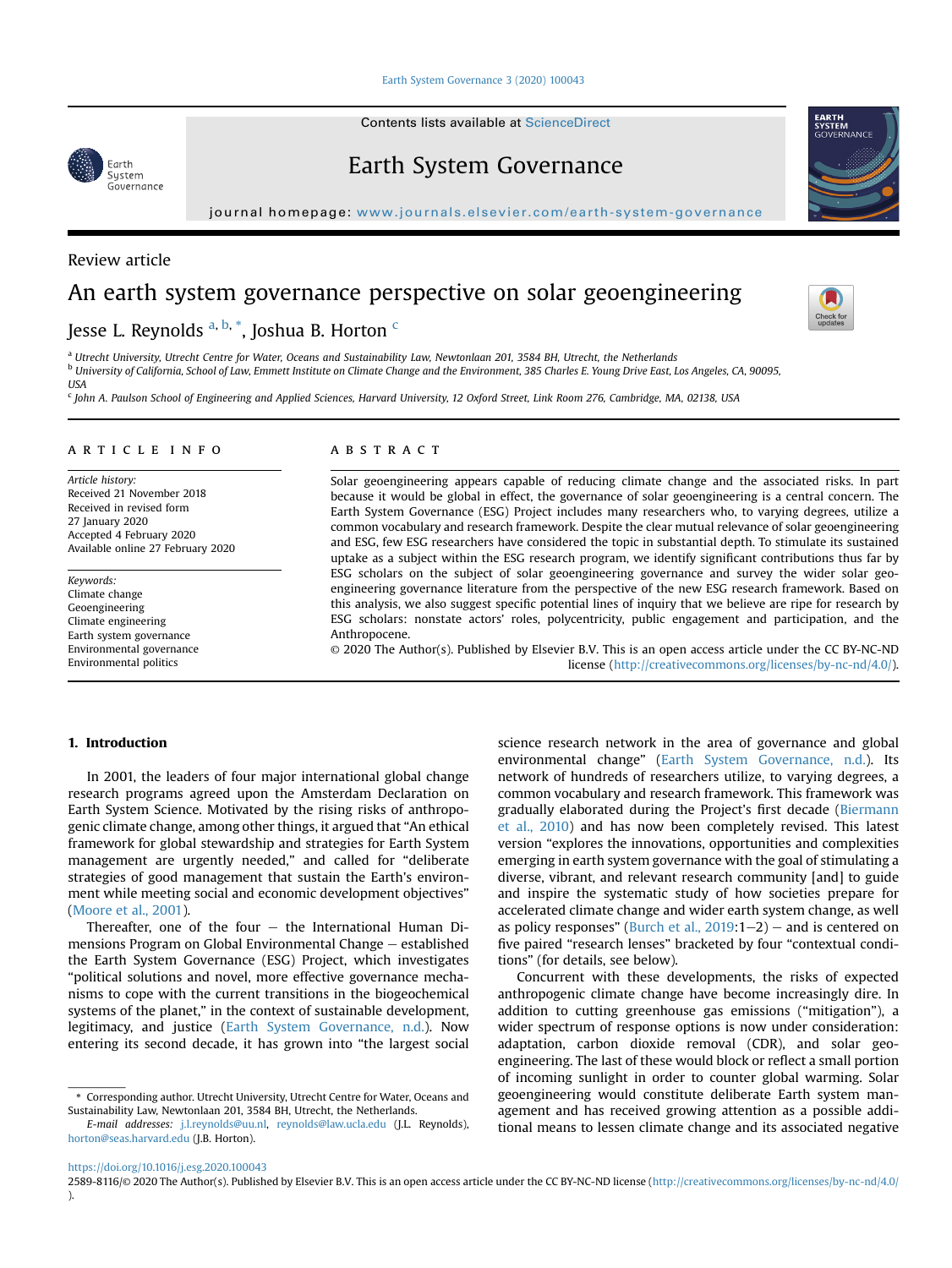[Earth System Governance 3 \(2020\) 100043](https://doi.org/10.1016/j.esg.2020.100043)

Contents lists available at ScienceDirect

# Earth System Governance

journal homepage: <www.journals.elsevier.com/earth-system-governance>

### Review article

Earth System - System<br>Governance

## An earth system governance perspective on solar geoengineering

## Jesse L. Reynolds <sup>[a,](#page-0-0) [b](#page-0-1), [\\*](#page-0-2)</sup>, Joshua B. Horton <sup>[c](#page-0-3)</sup>

<span id="page-0-1"></span><span id="page-0-0"></span><sup>a</sup> Utrecht University, Utrecht Centre for Water, Oceans and Sustainability Law, Newtonlaan 201, 3584 BH, Utrecht, the Netherlands <sup>b</sup> University of California, School of Law, Emmett Institute on Climate Change and the Environment, 385 Charles E. Young Drive East, Los Angeles, CA, 90095, **USA** 

<span id="page-0-3"></span><sup>c</sup> John A. Paulson School of Engineering and Applied Sciences, Harvard University, 12 Oxford Street, Link Room 276, Cambridge, MA, 02138, USA

#### article info

Article history: Received 21 November 2018 Received in revised form 27 January 2020 Accepted 4 February 2020 Available online 27 February 2020

Keywords: Climate change Geoengineering Climate engineering Earth system governance Environmental governance Environmental politics

#### **ABSTRACT**

Solar geoengineering appears capable of reducing climate change and the associated risks. In part because it would be global in effect, the governance of solar geoengineering is a central concern. The Earth System Governance (ESG) Project includes many researchers who, to varying degrees, utilize a common vocabulary and research framework. Despite the clear mutual relevance of solar geoengineering and ESG, few ESG researchers have considered the topic in substantial depth. To stimulate its sustained uptake as a subject within the ESG research program, we identify significant contributions thus far by ESG scholars on the subject of solar geoengineering governance and survey the wider solar geoengineering governance literature from the perspective of the new ESG research framework. Based on this analysis, we also suggest specific potential lines of inquiry that we believe are ripe for research by ESG scholars: nonstate actors' roles, polycentricity, public engagement and participation, and the Anthropocene.

© 2020 The Author(s). Published by Elsevier B.V. This is an open access article under the CC BY-NC-ND license [\(http://creativecommons.org/licenses/by-nc-nd/4.0/](http://creativecommons.org/licenses/by-nc-nd/4.0/)).

### 1. Introduction

In 2001, the leaders of four major international global change research programs agreed upon the Amsterdam Declaration on Earth System Science. Motivated by the rising risks of anthropogenic climate change, among other things, it argued that "An ethical framework for global stewardship and strategies for Earth System management are urgently needed," and called for "deliberate strategies of good management that sustain the Earth's environment while meeting social and economic development objectives" ([Moore et al., 2001](#page-9-0)).

Thereafter, one of the four  $-$  the International Human Dimensions Program on Global Environmental Change - established the Earth System Governance (ESG) Project, which investigates "political solutions and novel, more effective governance mechanisms to cope with the current transitions in the biogeochemical systems of the planet," in the context of sustainable development, legitimacy, and justice [\(Earth System Governance, n.d.\)](#page-8-0). Now entering its second decade, it has grown into "the largest social

network of hundreds of researchers utilize, to varying degrees, a common vocabulary and research framework. This framework was gradually elaborated during the Project's first decade ([Biermann](#page-8-1) [et al., 2010](#page-8-1)) and has now been completely revised. This latest version "explores the innovations, opportunities and complexities emerging in earth system governance with the goal of stimulating a diverse, vibrant, and relevant research community [and] to guide and inspire the systematic study of how societies prepare for accelerated climate change and wider earth system change, as well as policy responses" (Burch et al.,  $2019:1-2$ ) – and is centered on five paired "research lenses" bracketed by four "contextual conditions" (for details, see below). Concurrent with these developments, the risks of expected

science research network in the area of governance and global environmental change" ([Earth System Governance, n.d.\)](#page-8-0). Its

anthropogenic climate change have become increasingly dire. In addition to cutting greenhouse gas emissions ("mitigation"), a wider spectrum of response options is now under consideration: adaptation, carbon dioxide removal (CDR), and solar geoengineering. The last of these would block or reflect a small portion of incoming sunlight in order to counter global warming. Solar geoengineering would constitute deliberate Earth system management and has received growing attention as a possible additional means to lessen climate change and its associated negative

<https://doi.org/10.1016/j.esg.2020.100043>







<span id="page-0-2"></span><sup>\*</sup> Corresponding author. Utrecht University, Utrecht Centre for Water, Oceans and Sustainability Law, Newtonlaan 201, 3584 BH, Utrecht, the Netherlands.

E-mail addresses: [j.l.reynolds@uu.nl,](mailto:j.l.reynolds@uu.nl) [reynolds@law.ucla.edu](mailto:reynolds@law.ucla.edu) (J.L. Reynolds), [horton@seas.harvard.edu](mailto:horton@seas.harvard.edu) (J.B. Horton).

<sup>2589-8116/</sup>© 2020 The Author(s). Published by Elsevier B.V. This is an open access article under the CC BY-NC-ND license [\(http://creativecommons.org/licenses/by-nc-nd/4.0/](http://creativecommons.org/licenses/by-nc-nd/4.0/) ).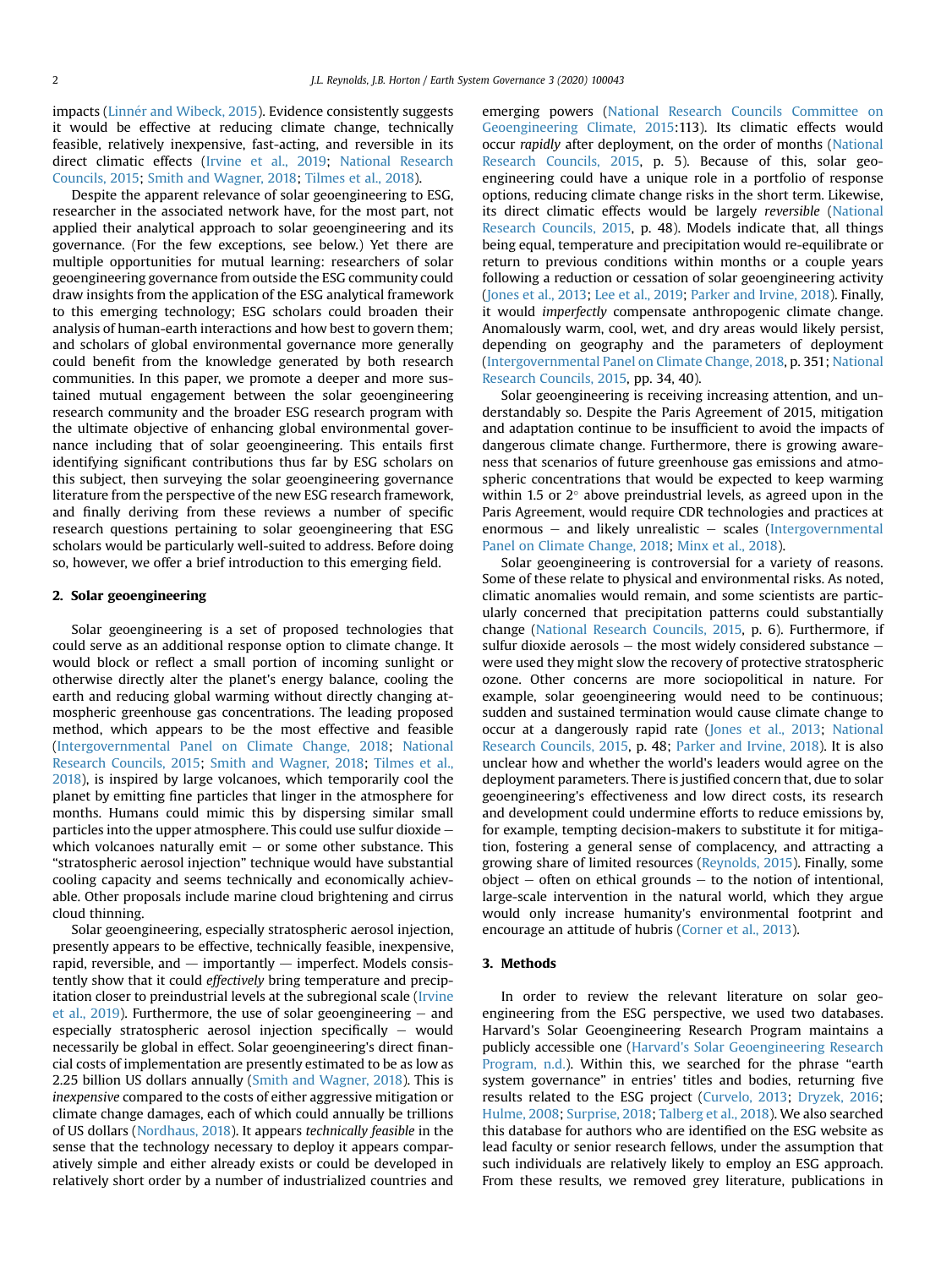impacts (Linnér and Wibeck, 2015). Evidence consistently suggests it would be effective at reducing climate change, technically feasible, relatively inexpensive, fast-acting, and reversible in its direct climatic effects [\(Irvine et al., 2019](#page-8-3); [National Research](#page-9-2) [Councils, 2015](#page-9-2); [Smith and Wagner, 2018;](#page-9-3) [Tilmes et al., 2018](#page-9-4)).

Despite the apparent relevance of solar geoengineering to ESG, researcher in the associated network have, for the most part, not applied their analytical approach to solar geoengineering and its governance. (For the few exceptions, see below.) Yet there are multiple opportunities for mutual learning: researchers of solar geoengineering governance from outside the ESG community could draw insights from the application of the ESG analytical framework to this emerging technology; ESG scholars could broaden their analysis of human-earth interactions and how best to govern them; and scholars of global environmental governance more generally could benefit from the knowledge generated by both research communities. In this paper, we promote a deeper and more sustained mutual engagement between the solar geoengineering research community and the broader ESG research program with the ultimate objective of enhancing global environmental governance including that of solar geoengineering. This entails first identifying significant contributions thus far by ESG scholars on this subject, then surveying the solar geoengineering governance literature from the perspective of the new ESG research framework, and finally deriving from these reviews a number of specific research questions pertaining to solar geoengineering that ESG scholars would be particularly well-suited to address. Before doing so, however, we offer a brief introduction to this emerging field.

#### 2. Solar geoengineering

Solar geoengineering is a set of proposed technologies that could serve as an additional response option to climate change. It would block or reflect a small portion of incoming sunlight or otherwise directly alter the planet's energy balance, cooling the earth and reducing global warming without directly changing atmospheric greenhouse gas concentrations. The leading proposed method, which appears to be the most effective and feasible ([Intergovernmental Panel on Climate Change, 2018](#page-8-4); [National](#page-9-2) [Research Councils, 2015](#page-9-2); [Smith and Wagner, 2018;](#page-9-3) [Tilmes et al.,](#page-9-4) [2018\)](#page-9-4), is inspired by large volcanoes, which temporarily cool the planet by emitting fine particles that linger in the atmosphere for months. Humans could mimic this by dispersing similar small particles into the upper atmosphere. This could use sulfur dioxide  $$ which volcanoes naturally emit  $-$  or some other substance. This "stratospheric aerosol injection" technique would have substantial cooling capacity and seems technically and economically achievable. Other proposals include marine cloud brightening and cirrus cloud thinning.

Solar geoengineering, especially stratospheric aerosol injection, presently appears to be effective, technically feasible, inexpensive, rapid, reversible, and  $-$  importantly  $-$  imperfect. Models consistently show that it could effectively bring temperature and precipitation closer to preindustrial levels at the subregional scale ([Irvine](#page-8-3) et al.,  $2019$ ). Furthermore, the use of solar geoengineering  $-$  and especially stratospheric aerosol injection specifically  $-$  would necessarily be global in effect. Solar geoengineering's direct financial costs of implementation are presently estimated to be as low as 2.25 billion US dollars annually [\(Smith and Wagner, 2018\)](#page-9-3). This is inexpensive compared to the costs of either aggressive mitigation or climate change damages, each of which could annually be trillions of US dollars ([Nordhaus, 2018\)](#page-9-5). It appears technically feasible in the sense that the technology necessary to deploy it appears comparatively simple and either already exists or could be developed in relatively short order by a number of industrialized countries and emerging powers [\(National Research Councils Committee on](#page-9-2) [Geoengineering Climate, 2015](#page-9-2):113). Its climatic effects would occur rapidly after deployment, on the order of months ([National](#page-9-2) [Research Councils, 2015](#page-9-2), p. 5). Because of this, solar geoengineering could have a unique role in a portfolio of response options, reducing climate change risks in the short term. Likewise, its direct climatic effects would be largely reversible ([National](#page-9-2) [Research Councils, 2015](#page-9-2), p. 48). Models indicate that, all things being equal, temperature and precipitation would re-equilibrate or return to previous conditions within months or a couple years following a reduction or cessation of solar geoengineering activity ([Jones et al., 2013](#page-8-5); [Lee et al., 2019](#page-9-6); [Parker and Irvine, 2018](#page-9-7)). Finally, it would imperfectly compensate anthropogenic climate change. Anomalously warm, cool, wet, and dry areas would likely persist, depending on geography and the parameters of deployment ([Intergovernmental Panel on Climate Change, 2018,](#page-8-4) p. 351; [National](#page-9-2) [Research Councils, 2015](#page-9-2), pp. 34, 40).

Solar geoengineering is receiving increasing attention, and understandably so. Despite the Paris Agreement of 2015, mitigation and adaptation continue to be insufficient to avoid the impacts of dangerous climate change. Furthermore, there is growing awareness that scenarios of future greenhouse gas emissions and atmospheric concentrations that would be expected to keep warming within 1.5 or  $2^{\circ}$  above preindustrial levels, as agreed upon in the Paris Agreement, would require CDR technologies and practices at enormous  $-$  and likely unrealistic  $-$  scales [\(Intergovernmental](#page-8-4) [Panel on Climate Change, 2018;](#page-8-4) [Minx et al., 2018\)](#page-9-8).

Solar geoengineering is controversial for a variety of reasons. Some of these relate to physical and environmental risks. As noted, climatic anomalies would remain, and some scientists are particularly concerned that precipitation patterns could substantially change [\(National Research Councils, 2015](#page-9-2), p. 6). Furthermore, if sulfur dioxide aerosols  $-$  the most widely considered substance  $$ were used they might slow the recovery of protective stratospheric ozone. Other concerns are more sociopolitical in nature. For example, solar geoengineering would need to be continuous; sudden and sustained termination would cause climate change to occur at a dangerously rapid rate [\(Jones et al., 2013;](#page-8-5) [National](#page-9-2) [Research Councils, 2015](#page-9-2), p. 48; [Parker and Irvine, 2018\)](#page-9-7). It is also unclear how and whether the world's leaders would agree on the deployment parameters. There is justified concern that, due to solar geoengineering's effectiveness and low direct costs, its research and development could undermine efforts to reduce emissions by, for example, tempting decision-makers to substitute it for mitigation, fostering a general sense of complacency, and attracting a growing share of limited resources [\(Reynolds, 2015](#page-9-9)). Finally, some  $object - often on ethical grounds - to the notion of intentional,$ large-scale intervention in the natural world, which they argue would only increase humanity's environmental footprint and encourage an attitude of hubris ([Corner et al., 2013\)](#page-8-6).

#### 3. Methods

In order to review the relevant literature on solar geoengineering from the ESG perspective, we used two databases. Harvard's Solar Geoengineering Research Program maintains a publicly accessible one [\(Harvard's Solar Geoengineering Research](#page-8-7) [Program, n.d.\)](#page-8-7). Within this, we searched for the phrase "earth system governance" in entries' titles and bodies, returning five results related to the ESG project [\(Curvelo, 2013;](#page-8-8) [Dryzek, 2016](#page-8-9); [Hulme, 2008](#page-8-10); [Surprise, 2018;](#page-9-10) [Talberg et al., 2018](#page-9-11)). We also searched this database for authors who are identified on the ESG website as lead faculty or senior research fellows, under the assumption that such individuals are relatively likely to employ an ESG approach. From these results, we removed grey literature, publications in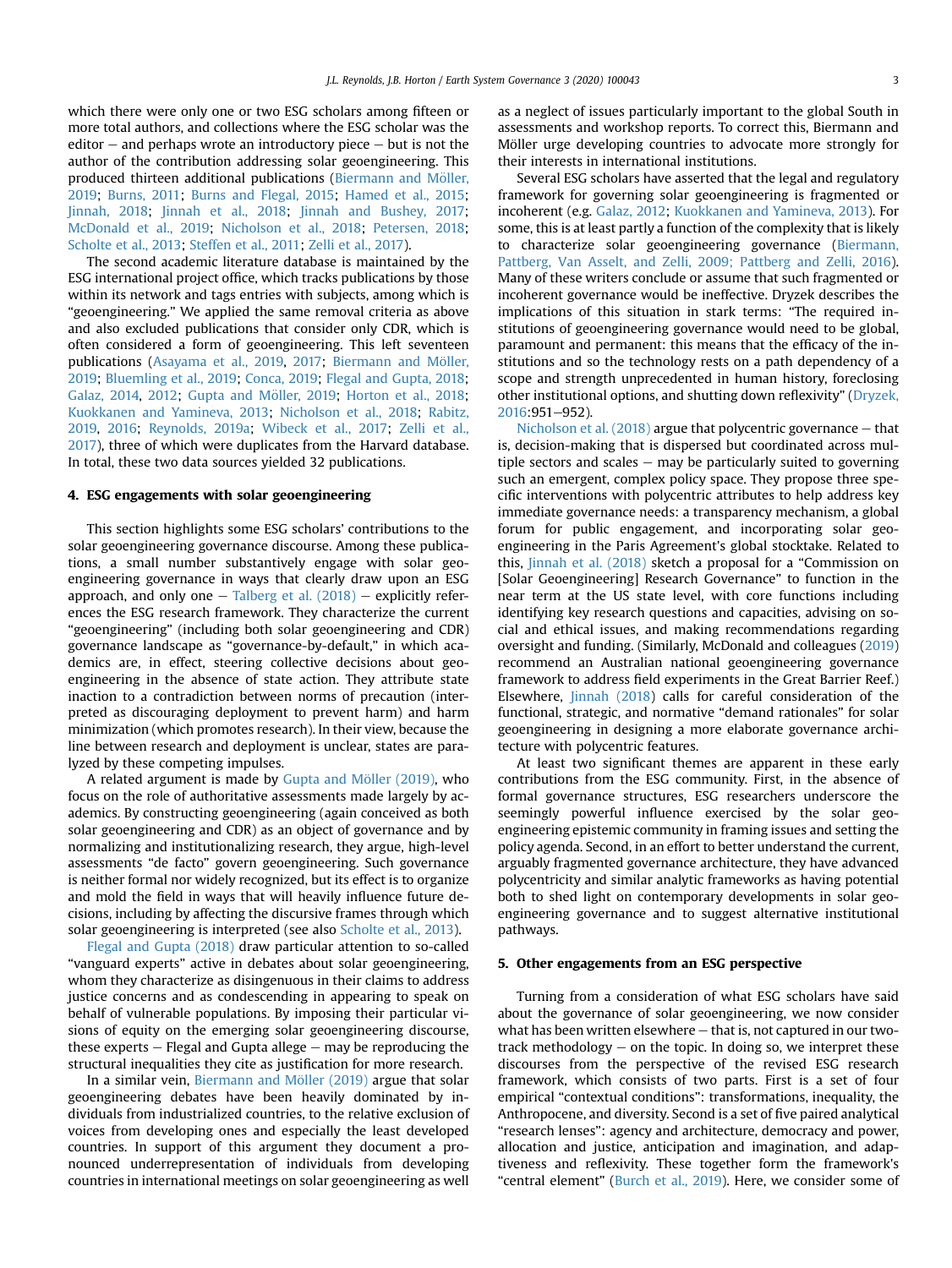which there were only one or two ESG scholars among fifteen or more total authors, and collections where the ESG scholar was the editor  $-$  and perhaps wrote an introductory piece  $-$  but is not the author of the contribution addressing solar geoengineering. This produced thirteen additional publications (Biermann and Möller, [2019;](#page-8-11) [Burns, 2011;](#page-8-12) [Burns and Flegal, 2015](#page-8-13); [Hamed et al., 2015;](#page-8-14) [Jinnah, 2018;](#page-8-15) [Jinnah et al., 2018](#page-8-16); [Jinnah and Bushey, 2017;](#page-8-17) [McDonald et al., 2019](#page-9-12); [Nicholson et al., 2018](#page-9-13); [Petersen, 2018;](#page-9-14) [Scholte et al., 2013](#page-9-15); [Steffen et al., 2011;](#page-9-16) [Zelli et al., 2017\)](#page-10-0).

The second academic literature database is maintained by the ESG international project office, which tracks publications by those within its network and tags entries with subjects, among which is "geoengineering." We applied the same removal criteria as above and also excluded publications that consider only CDR, which is often considered a form of geoengineering. This left seventeen publications ([Asayama et al., 2019](#page-8-18), [2017](#page-7-0); Biermann and Möller, [2019;](#page-8-11) [Bluemling et al., 2019](#page-8-19); [Conca, 2019;](#page-8-20) [Flegal and Gupta, 2018;](#page-8-21) [Galaz, 2014](#page-8-22), [2012](#page-8-23); Gupta and Möller, 2019; [Horton et al., 2018;](#page-8-25) [Kuokkanen and Yamineva, 2013](#page-9-17); [Nicholson et al., 2018](#page-9-13); [Rabitz,](#page-9-18) [2019,](#page-9-18) [2016;](#page-9-19) [Reynolds, 2019a](#page-9-20); [Wibeck et al., 2017](#page-10-1); [Zelli et al.,](#page-10-0) [2017](#page-10-0)), three of which were duplicates from the Harvard database. In total, these two data sources yielded 32 publications.

#### 4. ESG engagements with solar geoengineering

This section highlights some ESG scholars' contributions to the solar geoengineering governance discourse. Among these publications, a small number substantively engage with solar geoengineering governance in ways that clearly draw upon an ESG approach, and only one  $-$  [Talberg et al. \(2018\)](#page-9-11)  $-$  explicitly references the ESG research framework. They characterize the current "geoengineering" (including both solar geoengineering and CDR) governance landscape as "governance-by-default," in which academics are, in effect, steering collective decisions about geoengineering in the absence of state action. They attribute state inaction to a contradiction between norms of precaution (interpreted as discouraging deployment to prevent harm) and harm minimization (which promotes research). In their view, because the line between research and deployment is unclear, states are paralyzed by these competing impulses.

A related argument is made by Gupta and Möller (2019), who focus on the role of authoritative assessments made largely by academics. By constructing geoengineering (again conceived as both solar geoengineering and CDR) as an object of governance and by normalizing and institutionalizing research, they argue, high-level assessments "de facto" govern geoengineering. Such governance is neither formal nor widely recognized, but its effect is to organize and mold the field in ways that will heavily influence future decisions, including by affecting the discursive frames through which solar geoengineering is interpreted (see also [Scholte et al., 2013\)](#page-9-15).

[Flegal and Gupta \(2018\)](#page-8-21) draw particular attention to so-called "vanguard experts" active in debates about solar geoengineering, whom they characterize as disingenuous in their claims to address justice concerns and as condescending in appearing to speak on behalf of vulnerable populations. By imposing their particular visions of equity on the emerging solar geoengineering discourse, these experts  $-$  Flegal and Gupta allege  $-$  may be reproducing the structural inequalities they cite as justification for more research.

In a similar vein, Biermann and Möller (2019) argue that solar geoengineering debates have been heavily dominated by individuals from industrialized countries, to the relative exclusion of voices from developing ones and especially the least developed countries. In support of this argument they document a pronounced underrepresentation of individuals from developing countries in international meetings on solar geoengineering as well

as a neglect of issues particularly important to the global South in assessments and workshop reports. To correct this, Biermann and Möller urge developing countries to advocate more strongly for their interests in international institutions.

Several ESG scholars have asserted that the legal and regulatory framework for governing solar geoengineering is fragmented or incoherent (e.g. [Galaz, 2012;](#page-8-23) [Kuokkanen and Yamineva, 2013](#page-9-17)). For some, this is at least partly a function of the complexity that is likely to characterize solar geoengineering governance ([Biermann,](#page-8-26) [Pattberg, Van Asselt, and Zelli, 2009; Pattberg and Zelli, 2016\)](#page-8-26). Many of these writers conclude or assume that such fragmented or incoherent governance would be ineffective. Dryzek describes the implications of this situation in stark terms: "The required institutions of geoengineering governance would need to be global, paramount and permanent: this means that the efficacy of the institutions and so the technology rests on a path dependency of a scope and strength unprecedented in human history, foreclosing other institutional options, and shutting down reflexivity" ([Dryzek,](#page-8-9)  $2016:951-952$  $2016:951-952$ 

Nicholson et al.  $(2018)$  argue that polycentric governance  $-$  that is, decision-making that is dispersed but coordinated across multiple sectors and scales  $-$  may be particularly suited to governing such an emergent, complex policy space. They propose three specific interventions with polycentric attributes to help address key immediate governance needs: a transparency mechanism, a global forum for public engagement, and incorporating solar geoengineering in the Paris Agreement's global stocktake. Related to this, [Jinnah et al. \(2018\)](#page-8-16) sketch a proposal for a "Commission on [Solar Geoengineering] Research Governance" to function in the near term at the US state level, with core functions including identifying key research questions and capacities, advising on social and ethical issues, and making recommendations regarding oversight and funding. (Similarly, McDonald and colleagues [\(2019\)](#page-9-12) recommend an Australian national geoengineering governance framework to address field experiments in the Great Barrier Reef.) Elsewhere, *[Jinnah \(2018](#page-8-15))* calls for careful consideration of the functional, strategic, and normative "demand rationales" for solar geoengineering in designing a more elaborate governance architecture with polycentric features.

At least two significant themes are apparent in these early contributions from the ESG community. First, in the absence of formal governance structures, ESG researchers underscore the seemingly powerful influence exercised by the solar geoengineering epistemic community in framing issues and setting the policy agenda. Second, in an effort to better understand the current, arguably fragmented governance architecture, they have advanced polycentricity and similar analytic frameworks as having potential both to shed light on contemporary developments in solar geoengineering governance and to suggest alternative institutional pathways.

#### 5. Other engagements from an ESG perspective

Turning from a consideration of what ESG scholars have said about the governance of solar geoengineering, we now consider what has been written elsewhere  $-$  that is, not captured in our twotrack methodology  $-$  on the topic. In doing so, we interpret these discourses from the perspective of the revised ESG research framework, which consists of two parts. First is a set of four empirical "contextual conditions": transformations, inequality, the Anthropocene, and diversity. Second is a set of five paired analytical "research lenses": agency and architecture, democracy and power, allocation and justice, anticipation and imagination, and adaptiveness and reflexivity. These together form the framework's "central element" ([Burch et al., 2019\)](#page-8-2). Here, we consider some of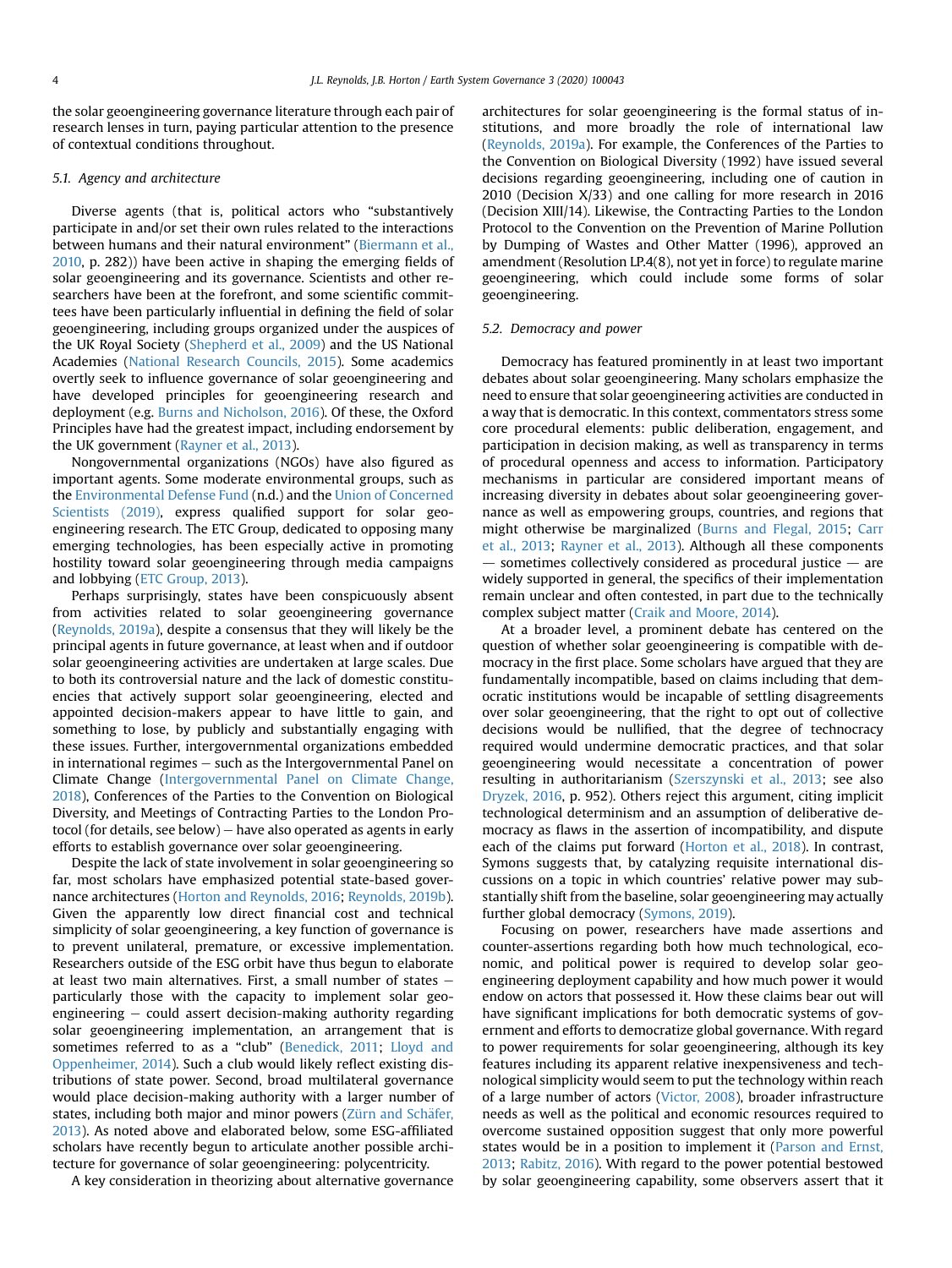the solar geoengineering governance literature through each pair of research lenses in turn, paying particular attention to the presence of contextual conditions throughout.

#### 5.1. Agency and architecture

Diverse agents (that is, political actors who "substantively participate in and/or set their own rules related to the interactions between humans and their natural environment" ([Biermann et al.,](#page-8-1) [2010](#page-8-1), p. 282)) have been active in shaping the emerging fields of solar geoengineering and its governance. Scientists and other researchers have been at the forefront, and some scientific committees have been particularly influential in defining the field of solar geoengineering, including groups organized under the auspices of the UK Royal Society ([Shepherd et al., 2009\)](#page-9-21) and the US National Academies ([National Research Councils, 2015\)](#page-9-2). Some academics overtly seek to influence governance of solar geoengineering and have developed principles for geoengineering research and deployment (e.g. [Burns and Nicholson, 2016](#page-8-27)). Of these, the Oxford Principles have had the greatest impact, including endorsement by the UK government ([Rayner et al., 2013](#page-9-22)).

Nongovernmental organizations (NGOs) have also figured as important agents. Some moderate environmental groups, such as the [Environmental Defense Fund](#page-8-28) (n.d.) and the [Union of Concerned](#page-9-23) [Scientists \(2019\)](#page-9-23), express qualified support for solar geoengineering research. The ETC Group, dedicated to opposing many emerging technologies, has been especially active in promoting hostility toward solar geoengineering through media campaigns and lobbying ([ETC Group, 2013\)](#page-8-29).

Perhaps surprisingly, states have been conspicuously absent from activities related to solar geoengineering governance ([Reynolds, 2019a](#page-9-20)), despite a consensus that they will likely be the principal agents in future governance, at least when and if outdoor solar geoengineering activities are undertaken at large scales. Due to both its controversial nature and the lack of domestic constituencies that actively support solar geoengineering, elected and appointed decision-makers appear to have little to gain, and something to lose, by publicly and substantially engaging with these issues. Further, intergovernmental organizations embedded in international regimes  $-$  such as the Intergovernmental Panel on Climate Change [\(Intergovernmental Panel on Climate Change,](#page-8-4) [2018\)](#page-8-4), Conferences of the Parties to the Convention on Biological Diversity, and Meetings of Contracting Parties to the London Protocol (for details, see below)  $-$  have also operated as agents in early efforts to establish governance over solar geoengineering.

Despite the lack of state involvement in solar geoengineering so far, most scholars have emphasized potential state-based governance architectures [\(Horton and Reynolds, 2016;](#page-8-30) [Reynolds, 2019b\)](#page-9-24). Given the apparently low direct financial cost and technical simplicity of solar geoengineering, a key function of governance is to prevent unilateral, premature, or excessive implementation. Researchers outside of the ESG orbit have thus begun to elaborate at least two main alternatives. First, a small number of states  $$ particularly those with the capacity to implement solar geoengineering  $-$  could assert decision-making authority regarding solar geoengineering implementation, an arrangement that is sometimes referred to as a "club" [\(Benedick, 2011](#page-8-31); [Lloyd and](#page-9-25) [Oppenheimer, 2014](#page-9-25)). Such a club would likely reflect existing distributions of state power. Second, broad multilateral governance would place decision-making authority with a larger number of states, including both major and minor powers (Zürn and Schäfer, [2013](#page-10-2)). As noted above and elaborated below, some ESG-affiliated scholars have recently begun to articulate another possible architecture for governance of solar geoengineering: polycentricity.

A key consideration in theorizing about alternative governance

architectures for solar geoengineering is the formal status of institutions, and more broadly the role of international law ([Reynolds, 2019a](#page-9-20)). For example, the Conferences of the Parties to the Convention on Biological Diversity (1992) have issued several decisions regarding geoengineering, including one of caution in 2010 (Decision X/33) and one calling for more research in 2016 (Decision XIII/14). Likewise, the Contracting Parties to the London Protocol to the Convention on the Prevention of Marine Pollution by Dumping of Wastes and Other Matter (1996), approved an amendment (Resolution LP.4(8), not yet in force) to regulate marine geoengineering, which could include some forms of solar geoengineering.

#### 5.2. Democracy and power

Democracy has featured prominently in at least two important debates about solar geoengineering. Many scholars emphasize the need to ensure that solar geoengineering activities are conducted in a way that is democratic. In this context, commentators stress some core procedural elements: public deliberation, engagement, and participation in decision making, as well as transparency in terms of procedural openness and access to information. Participatory mechanisms in particular are considered important means of increasing diversity in debates about solar geoengineering governance as well as empowering groups, countries, and regions that might otherwise be marginalized ([Burns and Flegal, 2015](#page-8-13); [Carr](#page-8-32) [et al., 2013;](#page-8-32) [Rayner et al., 2013](#page-9-22)). Although all these components  $-$  sometimes collectively considered as procedural justice  $-$  are widely supported in general, the specifics of their implementation remain unclear and often contested, in part due to the technically complex subject matter ([Craik and Moore, 2014\)](#page-8-33).

At a broader level, a prominent debate has centered on the question of whether solar geoengineering is compatible with democracy in the first place. Some scholars have argued that they are fundamentally incompatible, based on claims including that democratic institutions would be incapable of settling disagreements over solar geoengineering, that the right to opt out of collective decisions would be nullified, that the degree of technocracy required would undermine democratic practices, and that solar geoengineering would necessitate a concentration of power resulting in authoritarianism ([Szerszynski et al., 2013](#page-9-26); see also [Dryzek, 2016,](#page-8-9) p. 952). Others reject this argument, citing implicit technological determinism and an assumption of deliberative democracy as flaws in the assertion of incompatibility, and dispute each of the claims put forward ([Horton et al., 2018](#page-8-25)). In contrast, Symons suggests that, by catalyzing requisite international discussions on a topic in which countries' relative power may substantially shift from the baseline, solar geoengineering may actually further global democracy [\(Symons, 2019](#page-9-27)).

Focusing on power, researchers have made assertions and counter-assertions regarding both how much technological, economic, and political power is required to develop solar geoengineering deployment capability and how much power it would endow on actors that possessed it. How these claims bear out will have significant implications for both democratic systems of government and efforts to democratize global governance. With regard to power requirements for solar geoengineering, although its key features including its apparent relative inexpensiveness and technological simplicity would seem to put the technology within reach of a large number of actors ([Victor, 2008](#page-9-28)), broader infrastructure needs as well as the political and economic resources required to overcome sustained opposition suggest that only more powerful states would be in a position to implement it [\(Parson and Ernst,](#page-9-29) [2013;](#page-9-29) [Rabitz, 2016\)](#page-9-19). With regard to the power potential bestowed by solar geoengineering capability, some observers assert that it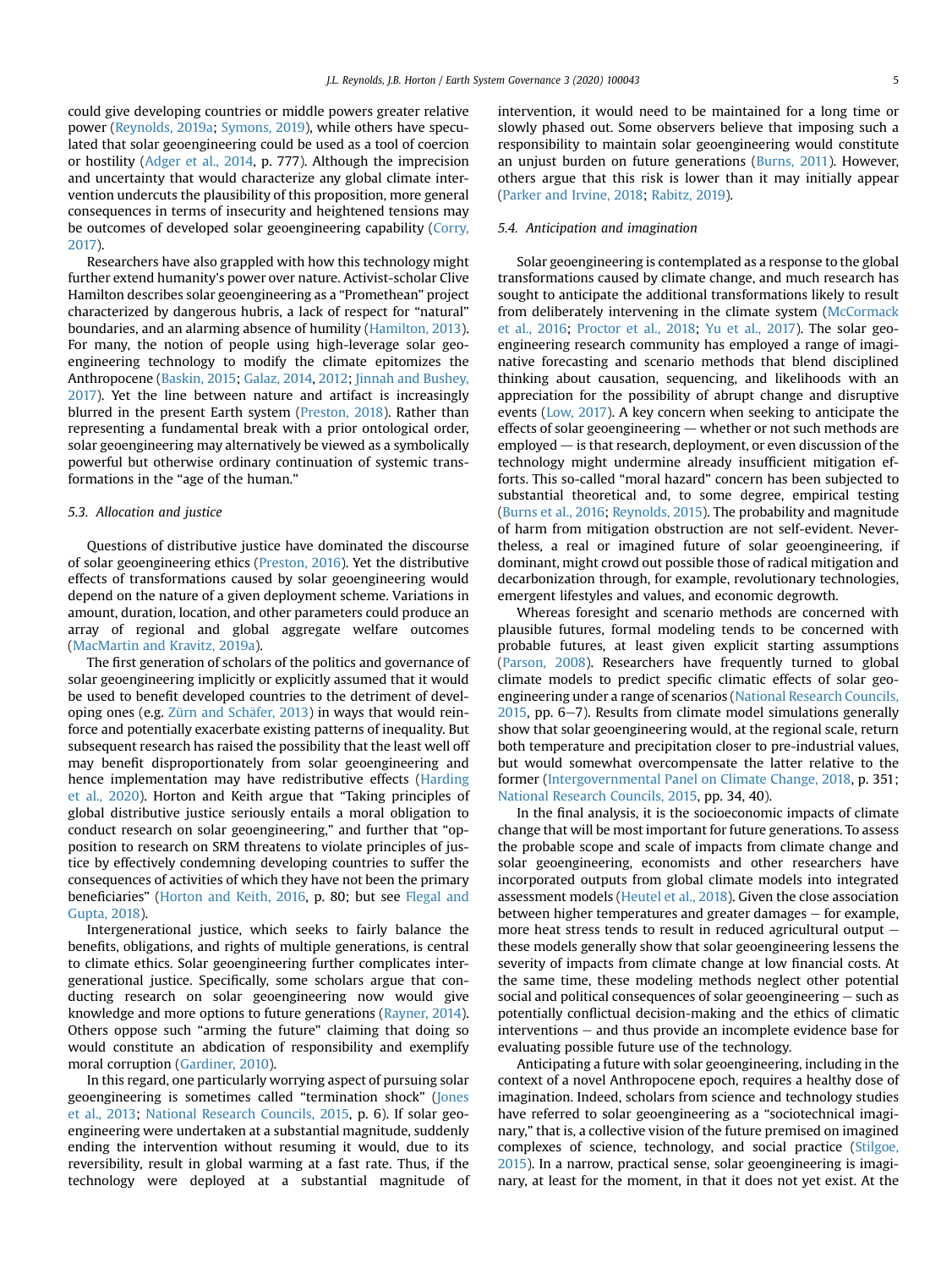could give developing countries or middle powers greater relative power [\(Reynolds, 2019a](#page-9-20); [Symons, 2019\)](#page-9-27), while others have speculated that solar geoengineering could be used as a tool of coercion or hostility ([Adger et al., 2014](#page-7-1), p. 777). Although the imprecision and uncertainty that would characterize any global climate intervention undercuts the plausibility of this proposition, more general consequences in terms of insecurity and heightened tensions may be outcomes of developed solar geoengineering capability [\(Corry,](#page-8-34) [2017](#page-8-34)).

Researchers have also grappled with how this technology might further extend humanity's power over nature. Activist-scholar Clive Hamilton describes solar geoengineering as a "Promethean" project characterized by dangerous hubris, a lack of respect for "natural" boundaries, and an alarming absence of humility [\(Hamilton, 2013\)](#page-8-35). For many, the notion of people using high-leverage solar geoengineering technology to modify the climate epitomizes the Anthropocene ([Baskin, 2015;](#page-8-36) [Galaz, 2014](#page-8-22), [2012;](#page-8-23) [Jinnah and Bushey,](#page-8-17) [2017](#page-8-17)). Yet the line between nature and artifact is increasingly blurred in the present Earth system [\(Preston, 2018\)](#page-9-30). Rather than representing a fundamental break with a prior ontological order, solar geoengineering may alternatively be viewed as a symbolically powerful but otherwise ordinary continuation of systemic transformations in the "age of the human."

#### 5.3. Allocation and justice

Questions of distributive justice have dominated the discourse of solar geoengineering ethics [\(Preston, 2016](#page-9-31)). Yet the distributive effects of transformations caused by solar geoengineering would depend on the nature of a given deployment scheme. Variations in amount, duration, location, and other parameters could produce an array of regional and global aggregate welfare outcomes ([MacMartin and Kravitz, 2019a\)](#page-9-32).

The first generation of scholars of the politics and governance of solar geoengineering implicitly or explicitly assumed that it would be used to benefit developed countries to the detriment of developing ones (e.g. Zürn and Schäfer, 2013) in ways that would reinforce and potentially exacerbate existing patterns of inequality. But subsequent research has raised the possibility that the least well off may benefit disproportionately from solar geoengineering and hence implementation may have redistributive effects [\(Harding](#page-8-37) [et al., 2020](#page-8-37)). Horton and Keith argue that "Taking principles of global distributive justice seriously entails a moral obligation to conduct research on solar geoengineering," and further that "opposition to research on SRM threatens to violate principles of justice by effectively condemning developing countries to suffer the consequences of activities of which they have not been the primary beneficiaries" [\(Horton and Keith, 2016](#page-8-38), p. 80; but see [Flegal and](#page-8-21) [Gupta, 2018\)](#page-8-21).

Intergenerational justice, which seeks to fairly balance the benefits, obligations, and rights of multiple generations, is central to climate ethics. Solar geoengineering further complicates intergenerational justice. Specifically, some scholars argue that conducting research on solar geoengineering now would give knowledge and more options to future generations [\(Rayner, 2014\)](#page-9-33). Others oppose such "arming the future" claiming that doing so would constitute an abdication of responsibility and exemplify moral corruption ([Gardiner, 2010](#page-8-39)).

In this regard, one particularly worrying aspect of pursuing solar geoengineering is sometimes called "termination shock" [\(Jones](#page-8-5) [et al., 2013](#page-8-5); [National Research Councils, 2015](#page-9-2), p. 6). If solar geoengineering were undertaken at a substantial magnitude, suddenly ending the intervention without resuming it would, due to its reversibility, result in global warming at a fast rate. Thus, if the technology were deployed at a substantial magnitude of intervention, it would need to be maintained for a long time or slowly phased out. Some observers believe that imposing such a responsibility to maintain solar geoengineering would constitute an unjust burden on future generations [\(Burns, 2011\)](#page-8-12). However, others argue that this risk is lower than it may initially appear ([Parker and Irvine, 2018](#page-9-7); [Rabitz, 2019\)](#page-9-18).

#### 5.4. Anticipation and imagination

Solar geoengineering is contemplated as a response to the global transformations caused by climate change, and much research has sought to anticipate the additional transformations likely to result from deliberately intervening in the climate system ([McCormack](#page-9-34) [et al., 2016;](#page-9-34) [Proctor et al., 2018](#page-9-35); [Yu et al., 2017\)](#page-10-3). The solar geoengineering research community has employed a range of imaginative forecasting and scenario methods that blend disciplined thinking about causation, sequencing, and likelihoods with an appreciation for the possibility of abrupt change and disruptive events ([Low, 2017\)](#page-9-36). A key concern when seeking to anticipate the effects of solar geoengineering  $-$  whether or not such methods are employed  $-$  is that research, deployment, or even discussion of the technology might undermine already insufficient mitigation efforts. This so-called "moral hazard" concern has been subjected to substantial theoretical and, to some degree, empirical testing ([Burns et al., 2016](#page-8-40); [Reynolds, 2015\)](#page-9-9). The probability and magnitude of harm from mitigation obstruction are not self-evident. Nevertheless, a real or imagined future of solar geoengineering, if dominant, might crowd out possible those of radical mitigation and decarbonization through, for example, revolutionary technologies, emergent lifestyles and values, and economic degrowth.

Whereas foresight and scenario methods are concerned with plausible futures, formal modeling tends to be concerned with probable futures, at least given explicit starting assumptions ([Parson, 2008\)](#page-9-37). Researchers have frequently turned to global climate models to predict specific climatic effects of solar geoengineering under a range of scenarios [\(National Research Councils,](#page-9-2)  $2015$ , pp. 6–7). Results from climate model simulations generally show that solar geoengineering would, at the regional scale, return both temperature and precipitation closer to pre-industrial values, but would somewhat overcompensate the latter relative to the former ([Intergovernmental Panel on Climate Change, 2018,](#page-8-4) p. 351; [National Research Councils, 2015](#page-9-2), pp. 34, 40).

In the final analysis, it is the socioeconomic impacts of climate change that will be most important for future generations. To assess the probable scope and scale of impacts from climate change and solar geoengineering, economists and other researchers have incorporated outputs from global climate models into integrated assessment models ([Heutel et al., 2018](#page-8-41)). Given the close association between higher temperatures and greater damages  $-$  for example, more heat stress tends to result in reduced agricultural output  $$ these models generally show that solar geoengineering lessens the severity of impacts from climate change at low financial costs. At the same time, these modeling methods neglect other potential social and political consequences of solar geoengineering  $-$  such as potentially conflictual decision-making and the ethics of climatic  $interventions - and thus provide an incomplete evidence base for$ evaluating possible future use of the technology.

Anticipating a future with solar geoengineering, including in the context of a novel Anthropocene epoch, requires a healthy dose of imagination. Indeed, scholars from science and technology studies have referred to solar geoengineering as a "sociotechnical imaginary," that is, a collective vision of the future premised on imagined complexes of science, technology, and social practice [\(Stilgoe,](#page-9-38) [2015\)](#page-9-38). In a narrow, practical sense, solar geoengineering is imaginary, at least for the moment, in that it does not yet exist. At the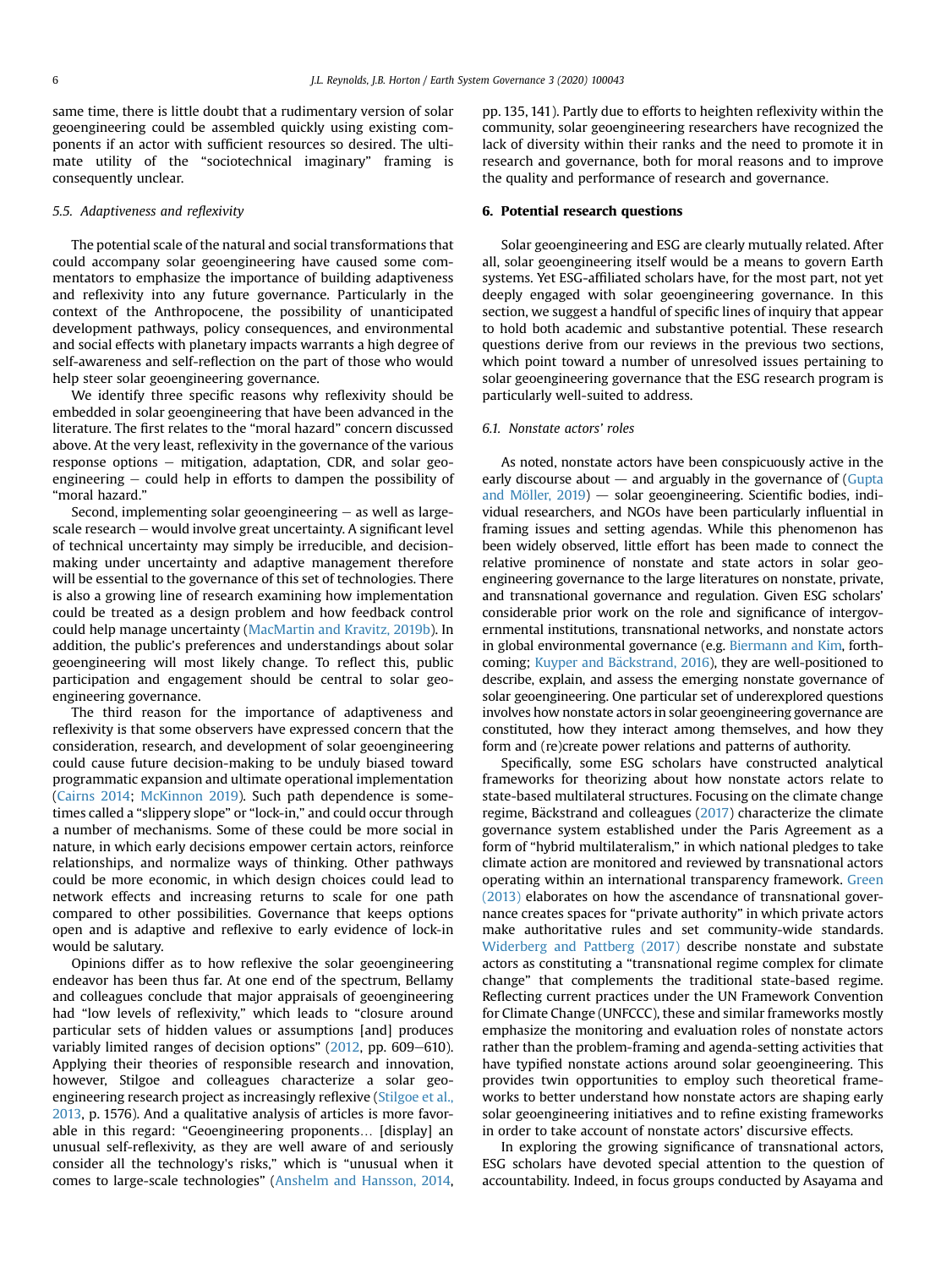same time, there is little doubt that a rudimentary version of solar geoengineering could be assembled quickly using existing components if an actor with sufficient resources so desired. The ultimate utility of the "sociotechnical imaginary" framing is consequently unclear.

#### 5.5. Adaptiveness and reflexivity

The potential scale of the natural and social transformations that could accompany solar geoengineering have caused some commentators to emphasize the importance of building adaptiveness and reflexivity into any future governance. Particularly in the context of the Anthropocene, the possibility of unanticipated development pathways, policy consequences, and environmental and social effects with planetary impacts warrants a high degree of self-awareness and self-reflection on the part of those who would help steer solar geoengineering governance.

We identify three specific reasons why reflexivity should be embedded in solar geoengineering that have been advanced in the literature. The first relates to the "moral hazard" concern discussed above. At the very least, reflexivity in the governance of the various response options - mitigation, adaptation, CDR, and solar geoengineering  $-$  could help in efforts to dampen the possibility of "moral hazard."

Second, implementing solar geoengineering  $-$  as well as largescale research - would involve great uncertainty. A significant level of technical uncertainty may simply be irreducible, and decisionmaking under uncertainty and adaptive management therefore will be essential to the governance of this set of technologies. There is also a growing line of research examining how implementation could be treated as a design problem and how feedback control could help manage uncertainty ([MacMartin and Kravitz, 2019b](#page-9-39)). In addition, the public's preferences and understandings about solar geoengineering will most likely change. To reflect this, public participation and engagement should be central to solar geoengineering governance.

The third reason for the importance of adaptiveness and reflexivity is that some observers have expressed concern that the consideration, research, and development of solar geoengineering could cause future decision-making to be unduly biased toward programmatic expansion and ultimate operational implementation ([Cairns 2014](#page-8-42); [McKinnon 2019](#page-9-40)). Such path dependence is sometimes called a "slippery slope" or "lock-in," and could occur through a number of mechanisms. Some of these could be more social in nature, in which early decisions empower certain actors, reinforce relationships, and normalize ways of thinking. Other pathways could be more economic, in which design choices could lead to network effects and increasing returns to scale for one path compared to other possibilities. Governance that keeps options open and is adaptive and reflexive to early evidence of lock-in would be salutary.

Opinions differ as to how reflexive the solar geoengineering endeavor has been thus far. At one end of the spectrum, Bellamy and colleagues conclude that major appraisals of geoengineering had "low levels of reflexivity," which leads to "closure around particular sets of hidden values or assumptions [and] produces variably limited ranges of decision options"  $(2012, pp. 609-610)$  $(2012, pp. 609-610)$  $(2012, pp. 609-610)$ . Applying their theories of responsible research and innovation, however, Stilgoe and colleagues characterize a solar geoengineering research project as increasingly reflexive ([Stilgoe et al.,](#page-9-41) [2013](#page-9-41), p. 1576). And a qualitative analysis of articles is more favorable in this regard: "Geoengineering proponents… [display] an unusual self-reflexivity, as they are well aware of and seriously consider all the technology's risks," which is "unusual when it comes to large-scale technologies" [\(Anshelm and Hansson, 2014,](#page-7-2) pp. 135, 141). Partly due to efforts to heighten reflexivity within the community, solar geoengineering researchers have recognized the lack of diversity within their ranks and the need to promote it in research and governance, both for moral reasons and to improve the quality and performance of research and governance.

#### 6. Potential research questions

Solar geoengineering and ESG are clearly mutually related. After all, solar geoengineering itself would be a means to govern Earth systems. Yet ESG-affiliated scholars have, for the most part, not yet deeply engaged with solar geoengineering governance. In this section, we suggest a handful of specific lines of inquiry that appear to hold both academic and substantive potential. These research questions derive from our reviews in the previous two sections, which point toward a number of unresolved issues pertaining to solar geoengineering governance that the ESG research program is particularly well-suited to address.

#### 6.1. Nonstate actors' roles

As noted, nonstate actors have been conspicuously active in the early discourse about  $-$  and arguably in the governance of [\(Gupta](#page-8-24) and Möller,  $2019$ )  $-$  solar geoengineering. Scientific bodies, individual researchers, and NGOs have been particularly influential in framing issues and setting agendas. While this phenomenon has been widely observed, little effort has been made to connect the relative prominence of nonstate and state actors in solar geoengineering governance to the large literatures on nonstate, private, and transnational governance and regulation. Given ESG scholars' considerable prior work on the role and significance of intergovernmental institutions, transnational networks, and nonstate actors in global environmental governance (e.g. [Biermann and Kim,](#page-8-44) forthcoming; Kuyper and Bäckstrand, 2016), they are well-positioned to describe, explain, and assess the emerging nonstate governance of solar geoengineering. One particular set of underexplored questions involves how nonstate actors in solar geoengineering governance are constituted, how they interact among themselves, and how they form and (re)create power relations and patterns of authority.

Specifically, some ESG scholars have constructed analytical frameworks for theorizing about how nonstate actors relate to state-based multilateral structures. Focusing on the climate change regime, Bäckstrand and colleagues  $(2017)$  $(2017)$  $(2017)$  characterize the climate governance system established under the Paris Agreement as a form of "hybrid multilateralism," in which national pledges to take climate action are monitored and reviewed by transnational actors operating within an international transparency framework. [Green](#page-8-46) [\(2013\)](#page-8-46) elaborates on how the ascendance of transnational governance creates spaces for "private authority" in which private actors make authoritative rules and set community-wide standards. [Widerberg and Pattberg \(2017\)](#page-10-4) describe nonstate and substate actors as constituting a "transnational regime complex for climate change" that complements the traditional state-based regime. Reflecting current practices under the UN Framework Convention for Climate Change (UNFCCC), these and similar frameworks mostly emphasize the monitoring and evaluation roles of nonstate actors rather than the problem-framing and agenda-setting activities that have typified nonstate actions around solar geoengineering. This provides twin opportunities to employ such theoretical frameworks to better understand how nonstate actors are shaping early solar geoengineering initiatives and to refine existing frameworks in order to take account of nonstate actors' discursive effects.

In exploring the growing significance of transnational actors, ESG scholars have devoted special attention to the question of accountability. Indeed, in focus groups conducted by Asayama and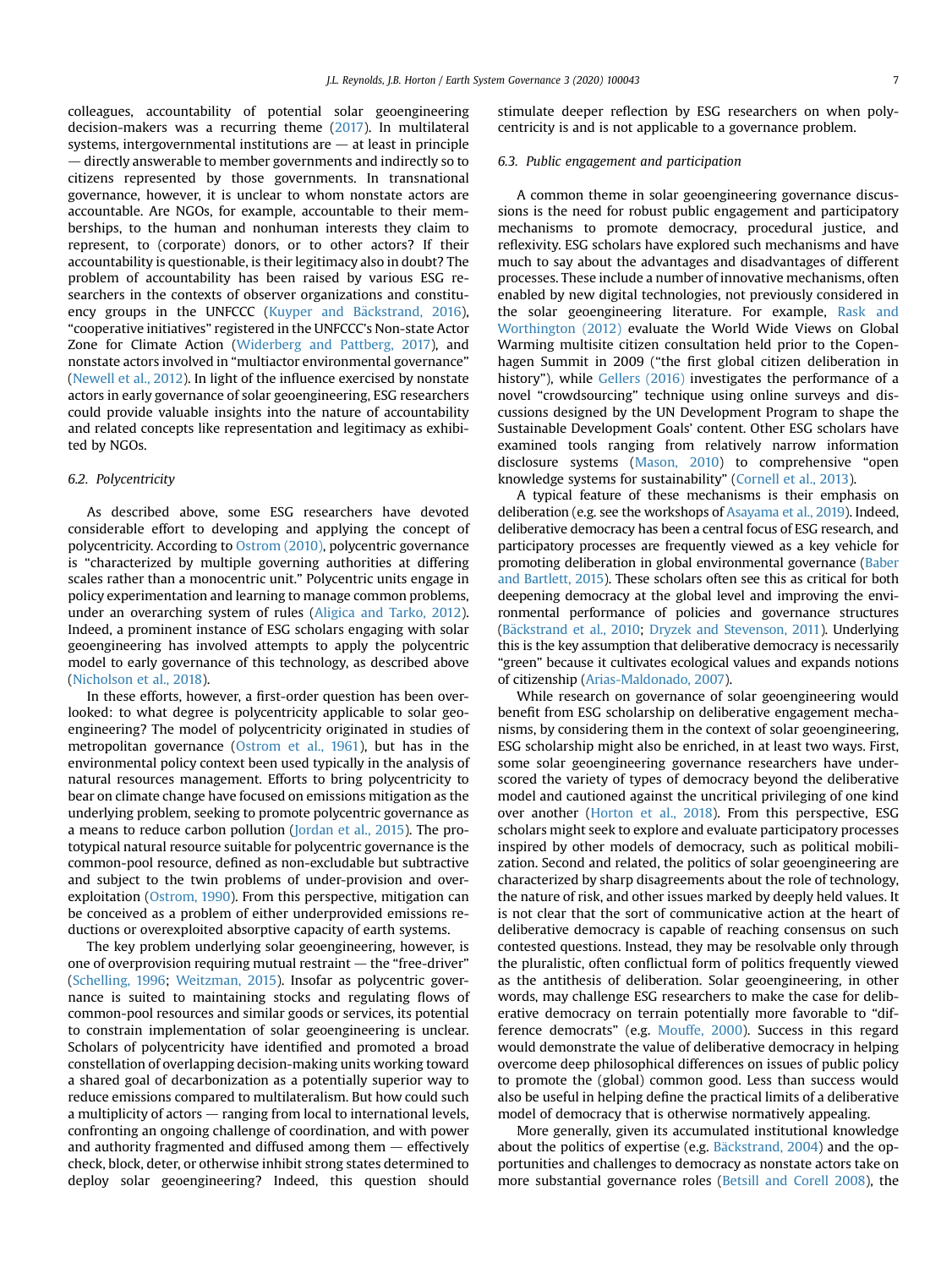colleagues, accountability of potential solar geoengineering decision-makers was a recurring theme ([2017\)](#page-7-0). In multilateral systems, intergovernmental institutions are  $-$  at least in principle  $-$  directly answerable to member governments and indirectly so to citizens represented by those governments. In transnational governance, however, it is unclear to whom nonstate actors are accountable. Are NGOs, for example, accountable to their memberships, to the human and nonhuman interests they claim to represent, to (corporate) donors, or to other actors? If their accountability is questionable, is their legitimacy also in doubt? The problem of accountability has been raised by various ESG researchers in the contexts of observer organizations and constituency groups in the UNFCCC (Kuyper and Bäckstrand, 2016), "cooperative initiatives" registered in the UNFCCC's Non-state Actor Zone for Climate Action [\(Widerberg and Pattberg, 2017](#page-10-4)), and nonstate actors involved in "multiactor environmental governance" ([Newell et al., 2012\)](#page-9-43). In light of the influence exercised by nonstate actors in early governance of solar geoengineering, ESG researchers could provide valuable insights into the nature of accountability and related concepts like representation and legitimacy as exhibited by NGOs.

#### 6.2. Polycentricity

As described above, some ESG researchers have devoted considerable effort to developing and applying the concept of polycentricity. According to [Ostrom \(2010\),](#page-9-44) polycentric governance is "characterized by multiple governing authorities at differing scales rather than a monocentric unit." Polycentric units engage in policy experimentation and learning to manage common problems, under an overarching system of rules ([Aligica and Tarko, 2012\)](#page-7-3). Indeed, a prominent instance of ESG scholars engaging with solar geoengineering has involved attempts to apply the polycentric model to early governance of this technology, as described above ([Nicholson et al., 2018\)](#page-9-13).

In these efforts, however, a first-order question has been overlooked: to what degree is polycentricity applicable to solar geoengineering? The model of polycentricity originated in studies of metropolitan governance ([Ostrom et al., 1961\)](#page-9-45), but has in the environmental policy context been used typically in the analysis of natural resources management. Efforts to bring polycentricity to bear on climate change have focused on emissions mitigation as the underlying problem, seeking to promote polycentric governance as a means to reduce carbon pollution [\(Jordan et al., 2015](#page-9-46)). The prototypical natural resource suitable for polycentric governance is the common-pool resource, defined as non-excludable but subtractive and subject to the twin problems of under-provision and overexploitation ([Ostrom, 1990](#page-9-47)). From this perspective, mitigation can be conceived as a problem of either underprovided emissions reductions or overexploited absorptive capacity of earth systems.

The key problem underlying solar geoengineering, however, is one of overprovision requiring mutual restraint  $-$  the "free-driver" ([Schelling, 1996](#page-9-48); [Weitzman, 2015](#page-9-49)). Insofar as polycentric governance is suited to maintaining stocks and regulating flows of common-pool resources and similar goods or services, its potential to constrain implementation of solar geoengineering is unclear. Scholars of polycentricity have identified and promoted a broad constellation of overlapping decision-making units working toward a shared goal of decarbonization as a potentially superior way to reduce emissions compared to multilateralism. But how could such a multiplicity of actors  $-$  ranging from local to international levels, confronting an ongoing challenge of coordination, and with power and authority fragmented and diffused among them  $-$  effectively check, block, deter, or otherwise inhibit strong states determined to deploy solar geoengineering? Indeed, this question should

stimulate deeper reflection by ESG researchers on when polycentricity is and is not applicable to a governance problem.

#### 6.3. Public engagement and participation

A common theme in solar geoengineering governance discussions is the need for robust public engagement and participatory mechanisms to promote democracy, procedural justice, and reflexivity. ESG scholars have explored such mechanisms and have much to say about the advantages and disadvantages of different processes. These include a number of innovative mechanisms, often enabled by new digital technologies, not previously considered in the solar geoengineering literature. For example, [Rask and](#page-9-50) [Worthington \(2012\)](#page-9-50) evaluate the World Wide Views on Global Warming multisite citizen consultation held prior to the Copenhagen Summit in 2009 ("the first global citizen deliberation in history"), while [Gellers \(2016\)](#page-8-47) investigates the performance of a novel "crowdsourcing" technique using online surveys and discussions designed by the UN Development Program to shape the Sustainable Development Goals' content. Other ESG scholars have examined tools ranging from relatively narrow information disclosure systems [\(Mason, 2010\)](#page-9-51) to comprehensive "open knowledge systems for sustainability" ([Cornell et al., 2013](#page-8-48)).

A typical feature of these mechanisms is their emphasis on deliberation (e.g. see the workshops of [Asayama et al., 2019\)](#page-8-18). Indeed, deliberative democracy has been a central focus of ESG research, and participatory processes are frequently viewed as a key vehicle for promoting deliberation in global environmental governance [\(Baber](#page-8-49) [and Bartlett, 2015\)](#page-8-49). These scholars often see this as critical for both deepening democracy at the global level and improving the environmental performance of policies and governance structures (Bäckstrand et al., 2010; [Dryzek and Stevenson, 2011](#page-8-51)). Underlying this is the key assumption that deliberative democracy is necessarily "green" because it cultivates ecological values and expands notions of citizenship ([Arias-Maldonado, 2007](#page-7-4)).

While research on governance of solar geoengineering would benefit from ESG scholarship on deliberative engagement mechanisms, by considering them in the context of solar geoengineering, ESG scholarship might also be enriched, in at least two ways. First, some solar geoengineering governance researchers have underscored the variety of types of democracy beyond the deliberative model and cautioned against the uncritical privileging of one kind over another ([Horton et al., 2018\)](#page-8-25). From this perspective, ESG scholars might seek to explore and evaluate participatory processes inspired by other models of democracy, such as political mobilization. Second and related, the politics of solar geoengineering are characterized by sharp disagreements about the role of technology, the nature of risk, and other issues marked by deeply held values. It is not clear that the sort of communicative action at the heart of deliberative democracy is capable of reaching consensus on such contested questions. Instead, they may be resolvable only through the pluralistic, often conflictual form of politics frequently viewed as the antithesis of deliberation. Solar geoengineering, in other words, may challenge ESG researchers to make the case for deliberative democracy on terrain potentially more favorable to "difference democrats" (e.g. [Mouffe, 2000\)](#page-9-52). Success in this regard would demonstrate the value of deliberative democracy in helping overcome deep philosophical differences on issues of public policy to promote the (global) common good. Less than success would also be useful in helping define the practical limits of a deliberative model of democracy that is otherwise normatively appealing.

More generally, given its accumulated institutional knowledge about the politics of expertise (e.g. [B](#page-8-52)ä[ckstrand, 2004](#page-8-52)) and the opportunities and challenges to democracy as nonstate actors take on more substantial governance roles [\(Betsill and Corell 2008\)](#page-8-53), the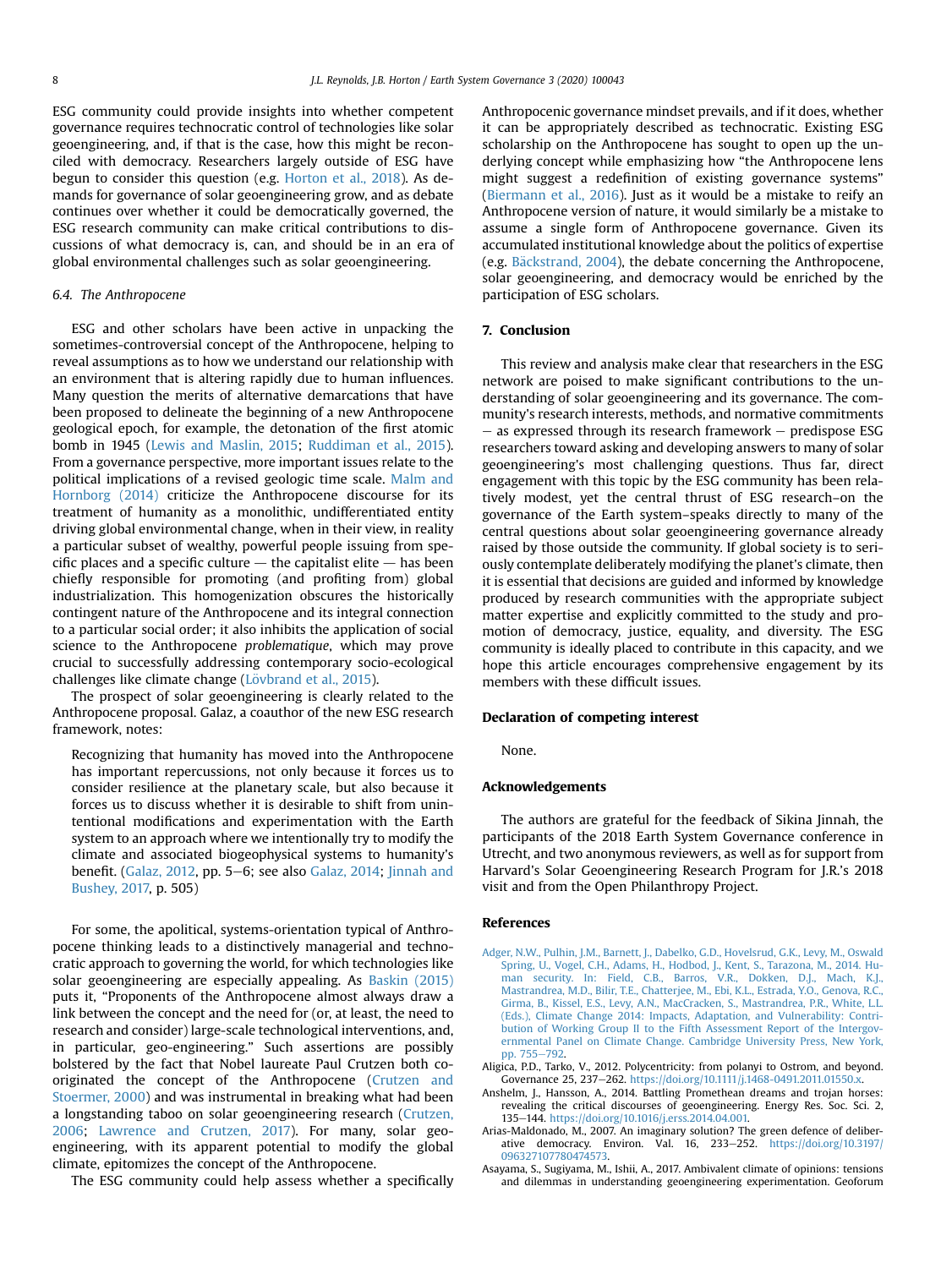ESG community could provide insights into whether competent governance requires technocratic control of technologies like solar geoengineering, and, if that is the case, how this might be reconciled with democracy. Researchers largely outside of ESG have begun to consider this question (e.g. [Horton et al., 2018\)](#page-8-25). As demands for governance of solar geoengineering grow, and as debate continues over whether it could be democratically governed, the ESG research community can make critical contributions to discussions of what democracy is, can, and should be in an era of global environmental challenges such as solar geoengineering.

#### 6.4. The Anthropocene

ESG and other scholars have been active in unpacking the sometimes-controversial concept of the Anthropocene, helping to reveal assumptions as to how we understand our relationship with an environment that is altering rapidly due to human influences. Many question the merits of alternative demarcations that have been proposed to delineate the beginning of a new Anthropocene geological epoch, for example, the detonation of the first atomic bomb in 1945 [\(Lewis and Maslin, 2015](#page-9-53); [Ruddiman et al., 2015\)](#page-9-54). From a governance perspective, more important issues relate to the political implications of a revised geologic time scale. [Malm and](#page-9-55) [Hornborg \(2014\)](#page-9-55) criticize the Anthropocene discourse for its treatment of humanity as a monolithic, undifferentiated entity driving global environmental change, when in their view, in reality a particular subset of wealthy, powerful people issuing from specific places and a specific culture  $-$  the capitalist elite  $-$  has been chiefly responsible for promoting (and profiting from) global industrialization. This homogenization obscures the historically contingent nature of the Anthropocene and its integral connection to a particular social order; it also inhibits the application of social science to the Anthropocene problematique, which may prove crucial to successfully addressing contemporary socio-ecological challenges like climate change (Lövbrand et al., 2015).

The prospect of solar geoengineering is clearly related to the Anthropocene proposal. Galaz, a coauthor of the new ESG research framework, notes:

Recognizing that humanity has moved into the Anthropocene has important repercussions, not only because it forces us to consider resilience at the planetary scale, but also because it forces us to discuss whether it is desirable to shift from unintentional modifications and experimentation with the Earth system to an approach where we intentionally try to modify the climate and associated biogeophysical systems to humanity's benefit. ([Galaz, 2012](#page-8-23), pp. 5–6; see also [Galaz, 2014;](#page-8-22) [Jinnah and](#page-8-17) [Bushey, 2017,](#page-8-17) p. 505)

For some, the apolitical, systems-orientation typical of Anthropocene thinking leads to a distinctively managerial and technocratic approach to governing the world, for which technologies like solar geoengineering are especially appealing. As [Baskin \(2015\)](#page-8-36) puts it, "Proponents of the Anthropocene almost always draw a link between the concept and the need for (or, at least, the need to research and consider) large-scale technological interventions, and, in particular, geo-engineering." Such assertions are possibly bolstered by the fact that Nobel laureate Paul Crutzen both cooriginated the concept of the Anthropocene ([Crutzen and](#page-8-54) [Stoermer, 2000\)](#page-8-54) and was instrumental in breaking what had been a longstanding taboo on solar geoengineering research [\(Crutzen,](#page-8-55) [2006](#page-8-55); [Lawrence and Crutzen, 2017\)](#page-9-57). For many, solar geoengineering, with its apparent potential to modify the global climate, epitomizes the concept of the Anthropocene.

The ESG community could help assess whether a specifically

Anthropocenic governance mindset prevails, and if it does, whether it can be appropriately described as technocratic. Existing ESG scholarship on the Anthropocene has sought to open up the underlying concept while emphasizing how "the Anthropocene lens might suggest a redefinition of existing governance systems" ([Biermann et al., 2016](#page-8-26)). Just as it would be a mistake to reify an Anthropocene version of nature, it would similarly be a mistake to assume a single form of Anthropocene governance. Given its accumulated institutional knowledge about the politics of expertise (e.g. [B](#page-8-52)äckstrand, 2004), the debate concerning the Anthropocene, solar geoengineering, and democracy would be enriched by the participation of ESG scholars.

#### 7. Conclusion

This review and analysis make clear that researchers in the ESG network are poised to make significant contributions to the understanding of solar geoengineering and its governance. The community's research interests, methods, and normative commitments  $-$  as expressed through its research framework  $-$  predispose ESG researchers toward asking and developing answers to many of solar geoengineering's most challenging questions. Thus far, direct engagement with this topic by the ESG community has been relatively modest, yet the central thrust of ESG research–on the governance of the Earth system–speaks directly to many of the central questions about solar geoengineering governance already raised by those outside the community. If global society is to seriously contemplate deliberately modifying the planet's climate, then it is essential that decisions are guided and informed by knowledge produced by research communities with the appropriate subject matter expertise and explicitly committed to the study and promotion of democracy, justice, equality, and diversity. The ESG community is ideally placed to contribute in this capacity, and we hope this article encourages comprehensive engagement by its members with these difficult issues.

#### Declaration of competing interest

None.

#### Acknowledgements

The authors are grateful for the feedback of Sikina Jinnah, the participants of the 2018 Earth System Governance conference in Utrecht, and two anonymous reviewers, as well as for support from Harvard's Solar Geoengineering Research Program for J.R.'s 2018 visit and from the Open Philanthropy Project.

#### References

- <span id="page-7-1"></span>[Adger, N.W., Pulhin, J.M., Barnett, J., Dabelko, G.D., Hovelsrud, G.K., Levy, M., Oswald](http://refhub.elsevier.com/S2589-8116(20)30002-1/sref1) [Spring, U., Vogel, C.H., Adams, H., Hodbod, J., Kent, S., Tarazona, M., 2014. Hu-](http://refhub.elsevier.com/S2589-8116(20)30002-1/sref1)[man security. In: Field, C.B., Barros, V.R., Dokken, D.J., Mach, K.J.,](http://refhub.elsevier.com/S2589-8116(20)30002-1/sref1) [Mastrandrea, M.D., Bilir, T.E., Chatterjee, M., Ebi, K.L., Estrada, Y.O., Genova, R.C.,](http://refhub.elsevier.com/S2589-8116(20)30002-1/sref1) [Girma, B., Kissel, E.S., Levy, A.N., MacCracken, S., Mastrandrea, P.R., White, L.L.](http://refhub.elsevier.com/S2589-8116(20)30002-1/sref1) [\(Eds.\), Climate Change 2014: Impacts, Adaptation, and Vulnerability: Contri](http://refhub.elsevier.com/S2589-8116(20)30002-1/sref1)[bution of Working Group II to the Fifth Assessment Report of the Intergov](http://refhub.elsevier.com/S2589-8116(20)30002-1/sref1)[ernmental Panel on Climate Change. Cambridge University Press, New York,](http://refhub.elsevier.com/S2589-8116(20)30002-1/sref1) [pp. 755](http://refhub.elsevier.com/S2589-8116(20)30002-1/sref1)-[792.](http://refhub.elsevier.com/S2589-8116(20)30002-1/sref1)
- <span id="page-7-3"></span>Aligica, P.D., Tarko, V., 2012. Polycentricity: from polanyi to Ostrom, and beyond. Governance 25, 237-262. <https://doi.org/10.1111/j.1468-0491.2011.01550.x>.
- <span id="page-7-2"></span>Anshelm, J., Hansson, A., 2014. Battling Promethean dreams and trojan horses: revealing the critical discourses of geoengineering. Energy Res. Soc. Sci. 2, 135-144. [https://doi.org/10.1016/j.erss.2014.04.001.](https://doi.org/10.1016/j.erss.2014.04.001)
- <span id="page-7-4"></span>Arias-Maldonado, M., 2007. An imaginary solution? The green defence of deliberative democracy. Environ. Val. 16, 233-252. [https://doi.org/10.3197/](https://doi.org/10.3197/096327107780474573) [096327107780474573](https://doi.org/10.3197/096327107780474573).
- <span id="page-7-0"></span>Asayama, S., Sugiyama, M., Ishii, A., 2017. Ambivalent climate of opinions: tensions and dilemmas in understanding geoengineering experimentation. Geoforum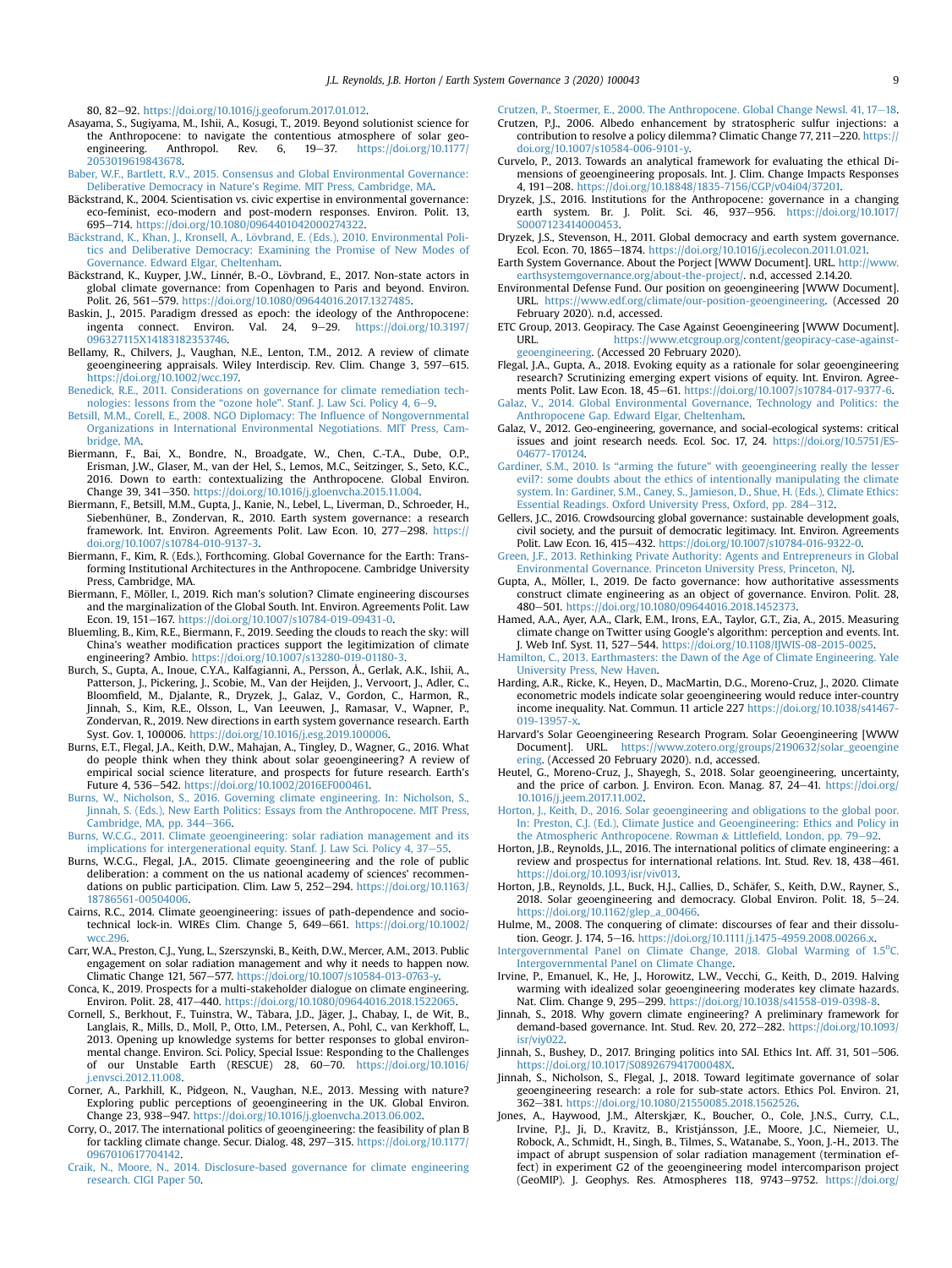80, 82-92. <https://doi.org/10.1016/j.geoforum.2017.01.012>.

- <span id="page-8-18"></span>Asayama, S., Sugiyama, M., Ishii, A., Kosugi, T., 2019. Beyond solutionist science for the Anthropocene: to navigate the contentious atmosphere of solar geo-<br>engineering. Anthropol. Rev. 6, 19–37. [https://doi.org/10.1177/](https://doi.org/10.1177/2053019619843678) [2053019619843678.](https://doi.org/10.1177/2053019619843678)
- <span id="page-8-49"></span>[Baber, W.F., Bartlett, R.V., 2015. Consensus and Global Environmental Governance:](http://refhub.elsevier.com/S2589-8116(20)30002-1/sref7) [Deliberative Democracy in Nature's Regime. MIT Press, Cambridge, MA](http://refhub.elsevier.com/S2589-8116(20)30002-1/sref7).
- <span id="page-8-52"></span>Backstrand, K., 2004. Scientisation vs. civic expertise in environmental governance: eco-feminist, eco-modern and post-modern responses. Environ. Polit. 13, 695-714. [https://doi.org/10.1080/0964401042000274322.](https://doi.org/10.1080/0964401042000274322)
- <span id="page-8-50"></span>[B](http://refhub.elsevier.com/S2589-8116(20)30002-1/sref9)ä[ckstrand, K., Khan, J., Kronsell, A., L](http://refhub.elsevier.com/S2589-8116(20)30002-1/sref9)övbrand, E. (Eds.), 2010. Environmental Poli[tics and Deliberative Democracy: Examining the Promise of New Modes of](http://refhub.elsevier.com/S2589-8116(20)30002-1/sref9) [Governance. Edward Elgar, Cheltenham.](http://refhub.elsevier.com/S2589-8116(20)30002-1/sref9)
- <span id="page-8-45"></span>Bäckstrand, K., Kuyper, J.W., Linnér, B.-O., Lövbrand, E., 2017. Non-state actors in global climate governance: from Copenhagen to Paris and beyond. Environ. Polit. 26, 561-579. <https://doi.org/10.1080/09644016.2017.1327485>.
- <span id="page-8-36"></span>Baskin, J., 2015. Paradigm dressed as epoch: the ideology of the Anthropocene: ingenta connect. Environ. Val. 24,  $9-29$ . [https://doi.org/10.3197/](https://doi.org/10.3197/096327115X14183182353746) [096327115X14183182353746](https://doi.org/10.3197/096327115X14183182353746).
- <span id="page-8-43"></span>Bellamy, R., Chilvers, J., Vaughan, N.E., Lenton, T.M., 2012. A review of climate geoengineering appraisals. Wiley Interdiscip. Rev. Clim. Change 3, 597-615. [https://doi.org/10.1002/wcc.197.](https://doi.org/10.1002/wcc.197)
- <span id="page-8-31"></span>[Benedick, R.E., 2011. Considerations on governance for climate remediation tech-](http://refhub.elsevier.com/S2589-8116(20)30002-1/sref13)nologies: lessons from the "ozone hole"[. Stanf. J. Law Sci. Policy 4, 6](http://refhub.elsevier.com/S2589-8116(20)30002-1/sref13)–[9.](http://refhub.elsevier.com/S2589-8116(20)30002-1/sref13)
- <span id="page-8-53"></span>[Betsill, M.M., Corell, E., 2008. NGO Diplomacy: The In](http://refhub.elsevier.com/S2589-8116(20)30002-1/sref121)fluence of Nongovernmental [Organizations in International Environmental Negotiations. MIT Press, Cam](http://refhub.elsevier.com/S2589-8116(20)30002-1/sref121)[bridge, MA](http://refhub.elsevier.com/S2589-8116(20)30002-1/sref121).
- <span id="page-8-26"></span>Biermann, F., Bai, X., Bondre, N., Broadgate, W., Chen, C.-T.A., Dube, O.P., Erisman, J.W., Glaser, M., van der Hel, S., Lemos, M.C., Seitzinger, S., Seto, K.C., 2016. Down to earth: contextualizing the Anthropocene. Global Environ. Change 39, 341-350. <https://doi.org/10.1016/j.gloenvcha.2015.11.004>.
- <span id="page-8-1"></span>Biermann, F., Betsill, M.M., Gupta, J., Kanie, N., Lebel, L., Liverman, D., Schroeder, H., Siebenhüner, B., Zondervan, R., 2010. Earth system governance: a research framework. Int. Environ. Agreements Polit. Law Econ. 10, 277-298. [https://](https://doi.org/10.1007/s10784-010-9137-3) [doi.org/10.1007/s10784-010-9137-3.](https://doi.org/10.1007/s10784-010-9137-3)
- <span id="page-8-44"></span>Biermann, F., Kim, R. (Eds.), Forthcoming. Global Governance for the Earth: Transforming Institutional Architectures in the Anthropocene. Cambridge University Press, Cambridge, MA
- <span id="page-8-11"></span>Biermann, F., Möller, I., 2019. Rich man's solution? Climate engineering discourses and the marginalization of the Global South. Int. Environ. Agreements Polit. Law Econ. 19, 151-167. [https://doi.org/10.1007/s10784-019-09431-0.](https://doi.org/10.1007/s10784-019-09431-0)
- <span id="page-8-19"></span>Bluemling, B., Kim, R.E., Biermann, F., 2019. Seeding the clouds to reach the sky: will China's weather modification practices support the legitimization of climate engineering? Ambio. [https://doi.org/10.1007/s13280-019-01180-3.](https://doi.org/10.1007/s13280-019-01180-3)
- <span id="page-8-2"></span>Burch, S., Gupta, A., Inoue, C.Y.A., Kalfagianni, A., Persson, Å., Gerlak, A.K., Ishii, A., Patterson, J., Pickering, J., Scobie, M., Van der Heijden, J., Vervoort, J., Adler, C., Bloomfield, M., Djalante, R., Dryzek, J., Galaz, V., Gordon, C., Harmon, R., Jinnah, S., Kim, R.E., Olsson, L., Van Leeuwen, J., Ramasar, V., Wapner, P., Zondervan, R., 2019. New directions in earth system governance research. Earth Syst. Gov. 1, 100006. [https://doi.org/10.1016/j.esg.2019.100006.](https://doi.org/10.1016/j.esg.2019.100006)
- <span id="page-8-40"></span>Burns, E.T., Flegal, J.A., Keith, D.W., Mahajan, A., Tingley, D., Wagner, G., 2016. What do people think when they think about solar geoengineering? A review of empirical social science literature, and prospects for future research. Earth's Future 4, 536-542. [https://doi.org/10.1002/2016EF000461.](https://doi.org/10.1002/2016EF000461)
- <span id="page-8-27"></span>[Burns, W., Nicholson, S., 2016. Governing climate engineering. In: Nicholson, S.,](http://refhub.elsevier.com/S2589-8116(20)30002-1/sref21) [Jinnah, S. \(Eds.\), New Earth Politics: Essays from the Anthropocene. MIT Press,](http://refhub.elsevier.com/S2589-8116(20)30002-1/sref21) [Cambridge, MA, pp. 344](http://refhub.elsevier.com/S2589-8116(20)30002-1/sref21)-[366.](http://refhub.elsevier.com/S2589-8116(20)30002-1/sref21)
- <span id="page-8-12"></span>[Burns, W.C.G., 2011. Climate geoengineering: solar radiation management and its](http://refhub.elsevier.com/S2589-8116(20)30002-1/sref22) [implications for intergenerational equity. Stanf. J. Law Sci. Policy 4, 37](http://refhub.elsevier.com/S2589-8116(20)30002-1/sref22)-[55.](http://refhub.elsevier.com/S2589-8116(20)30002-1/sref22)
- <span id="page-8-13"></span>Burns, W.C.G., Flegal, J.A., 2015. Climate geoengineering and the role of public deliberation: a comment on the us national academy of sciences' recommendations on public participation. Clim. Law 5, 252-294. [https://doi.org/10.1163/](https://doi.org/10.1163/18786561-00504006) [18786561-00504006.](https://doi.org/10.1163/18786561-00504006)
- <span id="page-8-42"></span>Cairns, R.C., 2014. Climate geoengineering: issues of path-dependence and sociotechnical lock-in. WIREs Clim. Change 5, 649-661. [https://doi.org/10.1002/](https://doi.org/10.1002/wcc.296) [wcc.296](https://doi.org/10.1002/wcc.296).
- <span id="page-8-32"></span>Carr, W.A., Preston, C.J., Yung, L., Szerszynski, B., Keith, D.W., Mercer, A.M., 2013. Public engagement on solar radiation management and why it needs to happen now. Climatic Change 121, 567-577. [https://doi.org/10.1007/s10584-013-0763-y.](https://doi.org/10.1007/s10584-013-0763-y)
- <span id="page-8-20"></span>Conca, K., 2019. Prospects for a multi-stakeholder dialogue on climate engineering. Environ. Polit. 28, 417-440. <https://doi.org/10.1080/09644016.2018.1522065>.
- <span id="page-8-48"></span>Cornell, S., Berkhout, F., Tuinstra, W., Tàbara, J.D., Jäger, J., Chabay, I., de Wit, B., Langlais, R., Mills, D., Moll, P., Otto, I.M., Petersen, A., Pohl, C., van Kerkhoff, L., 2013. Opening up knowledge systems for better responses to global environmental change. Environ. Sci. Policy, Special Issue: Responding to the Challenges of our Unstable Earth (RESCUE) 28, 60-70. [https://doi.org/10.1016/](https://doi.org/10.1016/j.envsci.2012.11.008) [j.envsci.2012.11.008.](https://doi.org/10.1016/j.envsci.2012.11.008)
- <span id="page-8-6"></span>Corner, A., Parkhill, K., Pidgeon, N., Vaughan, N.E., 2013. Messing with nature? Exploring public perceptions of geoengineering in the UK. Global Environ. Change 23, 938-947. <https://doi.org/10.1016/j.gloenvcha.2013.06.002>.
- <span id="page-8-34"></span>Corry, O., 2017. The international politics of geoengineering: the feasibility of plan B for tackling climate change. Secur. Dialog. 48, 297-315. [https://doi.org/10.1177/](https://doi.org/10.1177/0967010617704142) [0967010617704142.](https://doi.org/10.1177/0967010617704142)
- <span id="page-8-33"></span>[Craik, N., Moore, N., 2014. Disclosure-based governance for climate engineering](http://refhub.elsevier.com/S2589-8116(20)30002-1/sref29) [research. CIGI Paper 50](http://refhub.elsevier.com/S2589-8116(20)30002-1/sref29).

<span id="page-8-54"></span>[Crutzen, P., Stoermer, E., 2000. The Anthropocene. Global Change Newsl. 41, 17](http://refhub.elsevier.com/S2589-8116(20)30002-1/sref30)-[18](http://refhub.elsevier.com/S2589-8116(20)30002-1/sref30).

- <span id="page-8-55"></span>Crutzen, P.J., 2006. Albedo enhancement by stratospheric sulfur injections: a contribution to resolve a policy dilemma? Climatic Change 77, 211-220. [https://](https://doi.org/10.1007/s10584-006-9101-y) [doi.org/10.1007/s10584-006-9101-y](https://doi.org/10.1007/s10584-006-9101-y).
- <span id="page-8-8"></span>Curvelo, P., 2013. Towards an analytical framework for evaluating the ethical Dimensions of geoengineering proposals. Int. J. Clim. Change Impacts Responses 4, 191-208. [https://doi.org/10.18848/1835-7156/CGP/v04i04/37201.](https://doi.org/10.18848/1835-7156/CGP/v04i04/37201)
- <span id="page-8-9"></span>Dryzek, J.S., 2016. Institutions for the Anthropocene: governance in a changing earth system. Br. J. Polit. Sci. 46,  $937-956$ . https://doi.org/10.1017 [S0007123414000453](https://doi.org/10.1017/S0007123414000453).
- <span id="page-8-51"></span>Dryzek, J.S., Stevenson, H., 2011. Global democracy and earth system governance. Ecol. Econ. 70, 1865-1874. [https://doi.org/10.1016/j.ecolecon.2011.01.021.](https://doi.org/10.1016/j.ecolecon.2011.01.021)
- <span id="page-8-0"></span>Earth System Governance. About the Porject [WWW Document]. URL. [http://www.](http://www.earthsystemgovernance.org/about-the-project/) [earthsystemgovernance.org/about-the-project/](http://www.earthsystemgovernance.org/about-the-project/). n.d, accessed 2.14.20.
- <span id="page-8-28"></span>Environmental Defense Fund. Our position on geoengineering [WWW Document]. URL. <https://www.edf.org/climate/our-position-geoengineering>. (Accessed 20 February 2020). n.d, accessed.
- <span id="page-8-29"></span>ETC Group, 2013. Geopiracy. The Case Against Geoengineering [WWW Document]. [https://www.etcgroup.org/content/geopiracy-case-against](https://www.etcgroup.org/content/geopiracy-case-against-geoengineering)[geoengineering](https://www.etcgroup.org/content/geopiracy-case-against-geoengineering). (Accessed 20 February 2020).
- <span id="page-8-21"></span>Flegal, J.A., Gupta, A., 2018. Evoking equity as a rationale for solar geoengineering research? Scrutinizing emerging expert visions of equity. Int. Environ. Agreements Polit. Law Econ. 18, 45-61. <https://doi.org/10.1007/s10784-017-9377-6>.
- <span id="page-8-22"></span>[Galaz, V., 2014. Global Environmental Governance, Technology and Politics: the](http://refhub.elsevier.com/S2589-8116(20)30002-1/sref39) [Anthropocene Gap. Edward Elgar, Cheltenham.](http://refhub.elsevier.com/S2589-8116(20)30002-1/sref39)
- <span id="page-8-23"></span>Galaz, V., 2012. Geo-engineering, governance, and social-ecological systems: critical issues and joint research needs. Ecol. Soc. 17, 24. [https://doi.org/10.5751/ES-](https://doi.org/10.5751/ES-04677-170124)[04677-170124.](https://doi.org/10.5751/ES-04677-170124)
- <span id="page-8-39"></span>Gardiner, S.M., 2010. Is "arming the future" [with geoengineering really the lesser](http://refhub.elsevier.com/S2589-8116(20)30002-1/sref41) [evil?: some doubts about the ethics of intentionally manipulating the climate](http://refhub.elsevier.com/S2589-8116(20)30002-1/sref41) [system. In: Gardiner, S.M., Caney, S., Jamieson, D., Shue, H. \(Eds.\), Climate Ethics:](http://refhub.elsevier.com/S2589-8116(20)30002-1/sref41) [Essential Readings. Oxford University Press, Oxford, pp. 284](http://refhub.elsevier.com/S2589-8116(20)30002-1/sref41)-[312.](http://refhub.elsevier.com/S2589-8116(20)30002-1/sref41)
- <span id="page-8-47"></span>Gellers, J.C., 2016. Crowdsourcing global governance: sustainable development goals, civil society, and the pursuit of democratic legitimacy. Int. Environ. Agreements Polit. Law Econ. 16, 415-432. [https://doi.org/10.1007/s10784-016-9322-0.](https://doi.org/10.1007/s10784-016-9322-0)
- <span id="page-8-46"></span>[Green, J.F., 2013. Rethinking Private Authority: Agents and Entrepreneurs in Global](http://refhub.elsevier.com/S2589-8116(20)30002-1/sref43) [Environmental Governance. Princeton University Press, Princeton, NJ](http://refhub.elsevier.com/S2589-8116(20)30002-1/sref43).
- <span id="page-8-24"></span>Gupta, A., Möller, I., 2019. De facto governance: how authoritative assessments construct climate engineering as an object of governance. Environ. Polit. 28, 480-501. <https://doi.org/10.1080/09644016.2018.1452373>.
- <span id="page-8-14"></span>Hamed, A.A., Ayer, A.A., Clark, E.M., Irons, E.A., Taylor, G.T., Zia, A., 2015. Measuring climate change on Twitter using Google's algorithm: perception and events. Int. J. Web Inf. Syst. 11, 527-544. [https://doi.org/10.1108/IJWIS-08-2015-0025.](https://doi.org/10.1108/IJWIS-08-2015-0025)
- <span id="page-8-35"></span>[Hamilton, C., 2013. Earthmasters: the Dawn of the Age of Climate Engineering. Yale](http://refhub.elsevier.com/S2589-8116(20)30002-1/sref46) [University Press, New Haven](http://refhub.elsevier.com/S2589-8116(20)30002-1/sref46).
- <span id="page-8-37"></span>Harding, A.R., Ricke, K., Heyen, D., MacMartin, D.G., Moreno-Cruz, J., 2020. Climate econometric models indicate solar geoengineering would reduce inter-country income inequality. Nat. Commun. 11 article 227 [https://doi.org/10.1038/s41467-](https://doi.org/10.1038/s41467-019-13957-x) 019-13957-x
- <span id="page-8-7"></span>Harvard's Solar Geoengineering Research Program. Solar Geoengineering [WWW Document]. URL. [https://www.zotero.org/groups/2190632/solar\\_geoengine](https://www.zotero.org/groups/2190632/solar_geoengineering) [ering](https://www.zotero.org/groups/2190632/solar_geoengineering). (Accessed 20 February 2020). n.d, accessed.
- <span id="page-8-41"></span>Heutel, G., Moreno-Cruz, J., Shayegh, S., 2018. Solar geoengineering, uncertainty, and the price of carbon. J. Environ. Econ. Manag. 87, 24-41. [https://doi.org/](https://doi.org/10.1016/j.jeem.2017.11.002) [10.1016/j.jeem.2017.11.002](https://doi.org/10.1016/j.jeem.2017.11.002).
- <span id="page-8-38"></span>[Horton, J., Keith, D., 2016. Solar geoengineering and obligations to the global poor.](http://refhub.elsevier.com/S2589-8116(20)30002-1/sref50) [In: Preston, C.J. \(Ed.\), Climate Justice and Geoengineering: Ethics and Policy in](http://refhub.elsevier.com/S2589-8116(20)30002-1/sref50) [the Atmospheric Anthropocene. Rowman](http://refhub.elsevier.com/S2589-8116(20)30002-1/sref50) & Littlefi[eld, London, pp. 79](http://refhub.elsevier.com/S2589-8116(20)30002-1/sref50)-[92.](http://refhub.elsevier.com/S2589-8116(20)30002-1/sref50)
- <span id="page-8-30"></span>Horton, J.B., Reynolds, J.L., 2016. The international politics of climate engineering: a review and prospectus for international relations. Int. Stud. Rev. 18, 438-461. <https://doi.org/10.1093/isr/viv013>.
- <span id="page-8-25"></span>Horton, J.B., Reynolds, J.L., Buck, H.J., Callies, D., Schäfer, S., Keith, D.W., Rayner, S. 2018. Solar geoengineering and democracy. Global Environ. Polit. 18,  $5-24$ . [https://doi.org/10.1162/glep\\_a\\_00466](https://doi.org/10.1162/glep_a_00466).
- <span id="page-8-10"></span>Hulme, M., 2008. The conquering of climate: discourses of fear and their dissolution. Geogr. J. 174, 5-16. <https://doi.org/10.1111/j.1475-4959.2008.00266.x>.
- <span id="page-8-4"></span>[Intergovernmental Panel on Climate Change, 2018. Global Warming of 1.5](http://refhub.elsevier.com/S2589-8116(20)30002-1/sref54)°[C.](http://refhub.elsevier.com/S2589-8116(20)30002-1/sref54) [Intergovernmental Panel on Climate Change](http://refhub.elsevier.com/S2589-8116(20)30002-1/sref54).
- <span id="page-8-3"></span>Irvine, P., Emanuel, K., He, J., Horowitz, L.W., Vecchi, G., Keith, D., 2019. Halving warming with idealized solar geoengineering moderates key climate hazards. Nat. Clim. Change 9, 295-299. <https://doi.org/10.1038/s41558-019-0398-8>.
- <span id="page-8-15"></span>Jinnah, S., 2018. Why govern climate engineering? A preliminary framework for demand-based governance. Int. Stud. Rev. 20, 272-282. [https://doi.org/10.1093/](https://doi.org/10.1093/isr/viy022) [isr/viy022.](https://doi.org/10.1093/isr/viy022)
- <span id="page-8-17"></span>Jinnah, S., Bushey, D., 2017. Bringing politics into SAI. Ethics Int. Aff. 31, 501-506. <https://doi.org/10.1017/S089267941700048X>.
- <span id="page-8-16"></span>Jinnah, S., Nicholson, S., Flegal, J., 2018. Toward legitimate governance of solar geoengineering research: a role for sub-state actors. Ethics Pol. Environ. 21, 362-381. [https://doi.org/10.1080/21550085.2018.1562526.](https://doi.org/10.1080/21550085.2018.1562526)
- <span id="page-8-5"></span>Jones, A., Haywood, J.M., Alterskjær, K., Boucher, O., Cole, J.N.S., Curry, C.L., Irvine, P.J., Ji, D., Kravitz, B., Kristj ansson, J.E., Moore, J.C., Niemeier, U., Robock, A., Schmidt, H., Singh, B., Tilmes, S., Watanabe, S., Yoon, J.-H., 2013. The impact of abrupt suspension of solar radiation management (termination effect) in experiment G2 of the geoengineering model intercomparison project (GeoMIP). J. Geophys. Res. Atmospheres 118, 9743-9752. [https://doi.org/](https://doi.org/10.1002/jgrd.50762)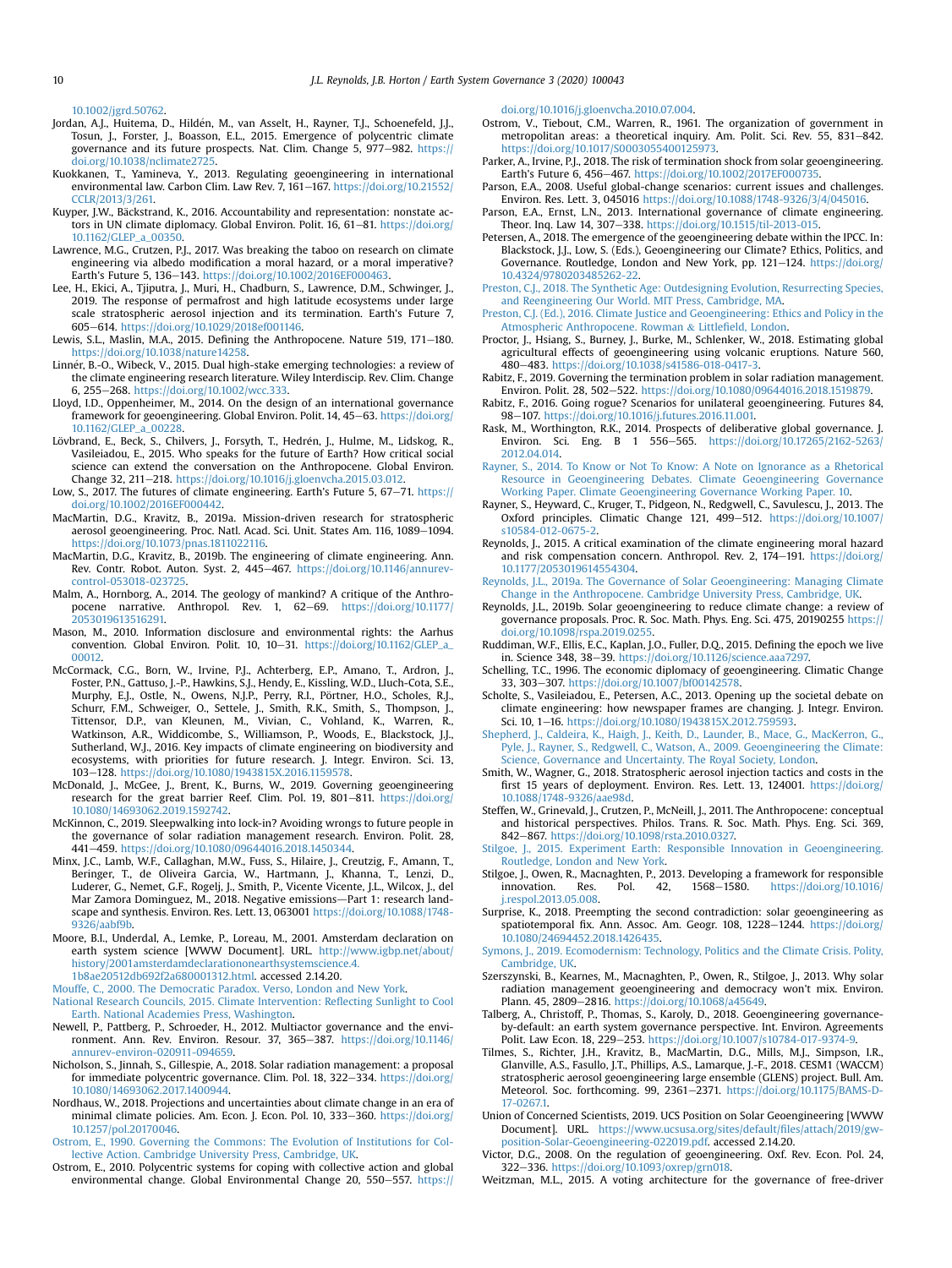[10.1002/jgrd.50762.](https://doi.org/10.1002/jgrd.50762)

- <span id="page-9-46"></span>Jordan, A.J., Huitema, D., Hilden, M., van Asselt, H., Rayner, T.J., Schoenefeld, J.J., Tosun, J., Forster, J., Boasson, E.L., 2015. Emergence of polycentric climate governance and its future prospects. Nat. Clim. Change 5, 977–982. [https://](https://doi.org/10.1038/nclimate2725) [doi.org/10.1038/nclimate2725.](https://doi.org/10.1038/nclimate2725)
- <span id="page-9-17"></span>Kuokkanen, T., Yamineva, Y., 2013. Regulating geoengineering in international environmental law. Carbon Clim. Law Rev. 7, 161-167. [https://doi.org/10.21552/](https://doi.org/10.21552/CCLR/2013/3/261) [CCLR/2013/3/261.](https://doi.org/10.21552/CCLR/2013/3/261)
- <span id="page-9-42"></span>Kuyper, J.W., Bäckstrand, K., 2016. Accountability and representation: nonstate actors in UN climate diplomacy. Global Environ. Polit. 16, 61-81. [https://doi.org/](https://doi.org/10.1162/GLEP_a_00350) [10.1162/GLEP\\_a\\_00350.](https://doi.org/10.1162/GLEP_a_00350)
- <span id="page-9-57"></span>Lawrence, M.G., Crutzen, P.J., 2017. Was breaking the taboo on research on climate engineering via albedo modification a moral hazard, or a moral imperative? Earth's Future 5, 136-143. <https://doi.org/10.1002/2016EF000463>.
- <span id="page-9-6"></span>Lee, H., Ekici, A., Tjiputra, J., Muri, H., Chadburn, S., Lawrence, D.M., Schwinger, J., 2019. The response of permafrost and high latitude ecosystems under large scale stratospheric aerosol injection and its termination. Earth's Future 7, 605e614. [https://doi.org/10.1029/2018ef001146.](https://doi.org/10.1029/2018ef001146)
- <span id="page-9-53"></span>Lewis, S.L., Maslin, M.A., 2015. Defining the Anthropocene. Nature 519, 171-180. <https://doi.org/10.1038/nature14258>.
- <span id="page-9-1"></span>Linner, B.-O., Wibeck, V., 2015. Dual high-stake emerging technologies: a review of the climate engineering research literature. Wiley Interdiscip. Rev. Clim. Change 6, 255e268. [https://doi.org/10.1002/wcc.333.](https://doi.org/10.1002/wcc.333)
- <span id="page-9-25"></span>Lloyd, I.D., Oppenheimer, M., 2014. On the design of an international governance framework for geoengineering. Global Environ. Polit. 14, 45-63. [https://doi.org/](https://doi.org/10.1162/GLEP_a_00228) [10.1162/GLEP\\_a\\_00228.](https://doi.org/10.1162/GLEP_a_00228)
- <span id="page-9-56"></span>Lövbrand, E., Beck, S., Chilvers, J., Forsyth, T., Hedrén, J., Hulme, M., Lidskog, R., Vasileiadou, E., 2015. Who speaks for the future of Earth? How critical social science can extend the conversation on the Anthropocene. Global Environ. Change 32, 211-218. <https://doi.org/10.1016/j.gloenvcha.2015.03.012>.
- <span id="page-9-36"></span>Low, S., 2017. The futures of climate engineering. Earth's Future 5, 67-71. [https://](https://doi.org/10.1002/2016EF000442) [doi.org/10.1002/2016EF000442.](https://doi.org/10.1002/2016EF000442)
- <span id="page-9-32"></span>MacMartin, D.G., Kravitz, B., 2019a. Mission-driven research for stratospheric aerosol geoengineering. Proc. Natl. Acad. Sci. Unit. States Am. 116, 1089-1094. [https://doi.org/10.1073/pnas.1811022116.](https://doi.org/10.1073/pnas.1811022116)
- <span id="page-9-39"></span>MacMartin, D.G., Kravitz, B., 2019b. The engineering of climate engineering. Ann. Rev. Contr. Robot. Auton. Syst. 2, 445-467. [https://doi.org/10.1146/annurev](https://doi.org/10.1146/annurev-control-053018-023725)[control-053018-023725](https://doi.org/10.1146/annurev-control-053018-023725).
- <span id="page-9-55"></span>Malm, A., Hornborg, A., 2014. The geology of mankind? A critique of the Anthropocene narrative. Anthropol. Rev. 1, 62-69. [https://doi.org/10.1177/](https://doi.org/10.1177/2053019613516291) [2053019613516291.](https://doi.org/10.1177/2053019613516291)
- <span id="page-9-51"></span>Mason, M., 2010. Information disclosure and environmental rights: the Aarhus convention. Global Environ. Polit. 10, 10-31. [https://doi.org/10.1162/GLEP\\_a\\_](https://doi.org/10.1162/GLEP_a_00012) [00012](https://doi.org/10.1162/GLEP_a_00012).
- <span id="page-9-34"></span>McCormack, C.G., Born, W., Irvine, P.J., Achterberg, E.P., Amano, T., Ardron, J., Foster, P.N., Gattuso, J.-P., Hawkins, S.J., Hendy, E., Kissling, W.D., Lluch-Cota, S.E., Murphy, E.J., Ostle, N., Owens, N.J.P., Perry, R.I., Pörtner, H.O., Scholes, R.J., Schurr, F.M., Schweiger, O., Settele, J., Smith, R.K., Smith, S., Thompson, J., Tittensor, D.P., van Kleunen, M., Vivian, C., Vohland, K., Warren, R., Watkinson, A.R., Widdicombe, S., Williamson, P., Woods, E., Blackstock, J.J., Sutherland, W.J., 2016. Key impacts of climate engineering on biodiversity and ecosystems, with priorities for future research. J. Integr. Environ. Sci. 13, 103-128. <https://doi.org/10.1080/1943815X.2016.1159578>.
- <span id="page-9-12"></span>McDonald, J., McGee, J., Brent, K., Burns, W., 2019. Governing geoengineering research for the great barrier Reef. Clim. Pol. 19, 801-811. [https://doi.org/](https://doi.org/10.1080/14693062.2019.1592742) [10.1080/14693062.2019.1592742.](https://doi.org/10.1080/14693062.2019.1592742)
- <span id="page-9-40"></span>McKinnon, C., 2019. Sleepwalking into lock-in? Avoiding wrongs to future people in the governance of solar radiation management research. Environ. Polit. 28, 441-459. <https://doi.org/10.1080/09644016.2018.1450344>.
- <span id="page-9-8"></span>Minx, J.C., Lamb, W.F., Callaghan, M.W., Fuss, S., Hilaire, J., Creutzig, F., Amann, T., Beringer, T., de Oliveira Garcia, W., Hartmann, J., Khanna, T., Lenzi, D., Luderer, G., Nemet, G.F., Rogelj, J., Smith, P., Vicente Vicente, J.L., Wilcox, J., del Mar Zamora Dominguez, M., 2018. Negative emissions-Part 1: research landscape and synthesis. Environ. Res. Lett. 13, 063001 [https://doi.org/10.1088/1748-](https://doi.org/10.1088/1748-9326/aabf9b) [9326/aabf9b.](https://doi.org/10.1088/1748-9326/aabf9b)
- <span id="page-9-0"></span>Moore, B.I., Underdal, A., Lemke, P., Loreau, M., 2001. Amsterdam declaration on earth system science [WWW Document]. URL. [http://www.igbp.net/about/](http://www.igbp.net/about/history/2001amsterdamdeclarationonearthsystemscience.4.1b8ae20512db692f2a680001312.html) [history/2001amsterdamdeclarationonearthsystemscience.4.](http://www.igbp.net/about/history/2001amsterdamdeclarationonearthsystemscience.4.1b8ae20512db692f2a680001312.html)
- [1b8ae20512db692f2a680001312.html](http://www.igbp.net/about/history/2001amsterdamdeclarationonearthsystemscience.4.1b8ae20512db692f2a680001312.html). accessed 2.14.20.
- <span id="page-9-52"></span><span id="page-9-2"></span>[Mouffe, C., 2000. The Democratic Paradox. Verso, London and New York.](http://refhub.elsevier.com/S2589-8116(20)30002-1/sref78) [National Research Councils, 2015. Climate Intervention: Re](http://refhub.elsevier.com/S2589-8116(20)30002-1/sref79)flecting Sunlight to Cool [Earth. National Academies Press, Washington](http://refhub.elsevier.com/S2589-8116(20)30002-1/sref79).
- <span id="page-9-43"></span>Newell, P., Pattberg, P., Schroeder, H., 2012. Multiactor governance and the environment. Ann. Rev. Environ. Resour. 37, 365-387. [https://doi.org/10.1146/](https://doi.org/10.1146/annurev-environ-020911-094659) [annurev-environ-020911-094659.](https://doi.org/10.1146/annurev-environ-020911-094659)
- <span id="page-9-13"></span>Nicholson, S., Jinnah, S., Gillespie, A., 2018. Solar radiation management: a proposal for immediate polycentric governance. Clim. Pol. 18, 322-334. [https://doi.org/](https://doi.org/10.1080/14693062.2017.1400944) [10.1080/14693062.2017.1400944.](https://doi.org/10.1080/14693062.2017.1400944)
- <span id="page-9-5"></span>Nordhaus, W., 2018. Projections and uncertainties about climate change in an era of minimal climate policies. Am. Econ. J. Econ. Pol. 10, 333-360. [https://doi.org/](https://doi.org/10.1257/pol.20170046) [10.1257/pol.20170046.](https://doi.org/10.1257/pol.20170046)
- <span id="page-9-47"></span>[Ostrom, E., 1990. Governing the Commons: The Evolution of Institutions for Col](http://refhub.elsevier.com/S2589-8116(20)30002-1/sref83)[lective Action. Cambridge University Press, Cambridge, UK.](http://refhub.elsevier.com/S2589-8116(20)30002-1/sref83)
- <span id="page-9-44"></span>Ostrom, E., 2010. Polycentric systems for coping with collective action and global environmental change. Global Environmental Change 20, 550-557. [https://](https://doi.org/10.1016/j.gloenvcha.2010.07.004)

[doi.org/10.1016/j.gloenvcha.2010.07.004.](https://doi.org/10.1016/j.gloenvcha.2010.07.004)

- <span id="page-9-45"></span>Ostrom, V., Tiebout, C.M., Warren, R., 1961. The organization of government in metropolitan areas: a theoretical inquiry. Am. Polit. Sci. Rev. 55, 831-842. <https://doi.org/10.1017/S0003055400125973>.
- <span id="page-9-7"></span>Parker, A., Irvine, P.J., 2018. The risk of termination shock from solar geoengineering. Earth's Future 6, 456-467. https://doi.org/10.1002/2017EF000735
- <span id="page-9-37"></span>Parson, E.A., 2008. Useful global-change scenarios: current issues and challenges. Environ. Res. Lett. 3, 045016 <https://doi.org/10.1088/1748-9326/3/4/045016>.
- <span id="page-9-29"></span>Parson, E.A., Ernst, L.N., 2013. International governance of climate engineering. Theor. Inq. Law 14, 307-338. <https://doi.org/10.1515/til-2013-015>.
- <span id="page-9-14"></span>Petersen, A., 2018. The emergence of the geoengineering debate within the IPCC. In: Blackstock, J.J., Low, S. (Eds.), Geoengineering our Climate? Ethics, Politics, and Governance. Routledge, London and New York, pp. 121-124. [https://doi.org/](https://doi.org/10.4324/9780203485262-22) [10.4324/9780203485262-22](https://doi.org/10.4324/9780203485262-22).
- <span id="page-9-30"></span>[Preston, C.J., 2018. The Synthetic Age: Outdesigning Evolution, Resurrecting Species,](http://refhub.elsevier.com/S2589-8116(20)30002-1/sref89) [and Reengineering Our World. MIT Press, Cambridge, MA](http://refhub.elsevier.com/S2589-8116(20)30002-1/sref89).
- <span id="page-9-31"></span>[Preston, C.J. \(Ed.\), 2016. Climate Justice and Geoengineering: Ethics and Policy in the](http://refhub.elsevier.com/S2589-8116(20)30002-1/sref90) [Atmospheric Anthropocene. Rowman](http://refhub.elsevier.com/S2589-8116(20)30002-1/sref90) & Littlefi[eld, London](http://refhub.elsevier.com/S2589-8116(20)30002-1/sref90).
- <span id="page-9-35"></span>Proctor, J., Hsiang, S., Burney, J., Burke, M., Schlenker, W., 2018. Estimating global agricultural effects of geoengineering using volcanic eruptions. Nature 560, 480e483. [https://doi.org/10.1038/s41586-018-0417-3.](https://doi.org/10.1038/s41586-018-0417-3)
- <span id="page-9-18"></span>Rabitz, F., 2019. Governing the termination problem in solar radiation management. Environ. Polit. 28, 502-522. [https://doi.org/10.1080/09644016.2018.1519879.](https://doi.org/10.1080/09644016.2018.1519879)
- <span id="page-9-19"></span>Rabitz, F., 2016. Going rogue? Scenarios for unilateral geoengineering. Futures 84, 98-107. [https://doi.org/10.1016/j.futures.2016.11.001.](https://doi.org/10.1016/j.futures.2016.11.001)<br>Rask, M., Worthington, R.K., 2014. Prospects of deliberative global governance. J.
- <span id="page-9-50"></span>Environ. Sci. Eng. B 1 556-565. [https://doi.org/10.17265/2162-5263/](https://doi.org/10.17265/2162-5263/2012.04.014) [2012.04.014.](https://doi.org/10.17265/2162-5263/2012.04.014)
- <span id="page-9-33"></span>[Rayner, S., 2014. To Know or Not To Know: A Note on Ignorance as a Rhetorical](http://refhub.elsevier.com/S2589-8116(20)30002-1/sref95) [Resource in Geoengineering Debates. Climate Geoengineering Governance](http://refhub.elsevier.com/S2589-8116(20)30002-1/sref95) [Working Paper. Climate Geoengineering Governance Working Paper. 10.](http://refhub.elsevier.com/S2589-8116(20)30002-1/sref95)
- <span id="page-9-22"></span>Rayner, S., Heyward, C., Kruger, T., Pidgeon, N., Redgwell, C., Savulescu, J., 2013. The Oxford principles. Climatic Change 121, 499-512. [https://doi.org/10.1007/](https://doi.org/10.1007/s10584-012-0675-2) [s10584-012-0675-2](https://doi.org/10.1007/s10584-012-0675-2).
- <span id="page-9-9"></span>Reynolds, J., 2015. A critical examination of the climate engineering moral hazard and risk compensation concern. Anthropol. Rev. 2, 174-191. [https://doi.org/](https://doi.org/10.1177/2053019614554304) [10.1177/2053019614554304.](https://doi.org/10.1177/2053019614554304)
- <span id="page-9-20"></span>[Reynolds, J.L., 2019a. The Governance of Solar Geoengineering: Managing Climate](http://refhub.elsevier.com/S2589-8116(20)30002-1/sref98) [Change in the Anthropocene. Cambridge University Press, Cambridge, UK.](http://refhub.elsevier.com/S2589-8116(20)30002-1/sref98)
- <span id="page-9-24"></span>Reynolds, J.L., 2019b. Solar geoengineering to reduce climate change: a review of governance proposals. Proc. R. Soc. Math. Phys. Eng. Sci. 475, 20190255 [https://](https://doi.org/10.1098/rspa.2019.0255) [doi.org/10.1098/rspa.2019.0255](https://doi.org/10.1098/rspa.2019.0255).
- <span id="page-9-54"></span>Ruddiman, W.F., Ellis, E.C., Kaplan, J.O., Fuller, D.Q., 2015. Defining the epoch we live in. Science 348, 38-39. https://doi.org/10.1126/science.aaa7297
- <span id="page-9-48"></span>Schelling, T.C., 1996. The economic diplomacy of geoengineering. Climatic Change 33, 303-307. [https://doi.org/10.1007/bf00142578.](https://doi.org/10.1007/bf00142578)
- <span id="page-9-15"></span>Scholte, S., Vasileiadou, E., Petersen, A.C., 2013. Opening up the societal debate on climate engineering: how newspaper frames are changing. J. Integr. Environ. Sci. 10, 1-16. [https://doi.org/10.1080/1943815X.2012.759593.](https://doi.org/10.1080/1943815X.2012.759593)
- <span id="page-9-21"></span>[Shepherd, J., Caldeira, K., Haigh, J., Keith, D., Launder, B., Mace, G., MacKerron, G.,](http://refhub.elsevier.com/S2589-8116(20)30002-1/sref103) [Pyle, J., Rayner, S., Redgwell, C., Watson, A., 2009. Geoengineering the Climate:](http://refhub.elsevier.com/S2589-8116(20)30002-1/sref103) [Science, Governance and Uncertainty. The Royal Society, London](http://refhub.elsevier.com/S2589-8116(20)30002-1/sref103).
- <span id="page-9-3"></span>Smith, W., Wagner, G., 2018. Stratospheric aerosol injection tactics and costs in the first 15 years of deployment. Environ. Res. Lett. 13, 124001. [https://doi.org/](https://doi.org/10.1088/1748-9326/aae98d) [10.1088/1748-9326/aae98d](https://doi.org/10.1088/1748-9326/aae98d).
- <span id="page-9-16"></span>Steffen, W., Grinevald, J., Crutzen, P., McNeill, J., 2011. The Anthropocene: conceptual and historical perspectives. Philos. Trans. R. Soc. Math. Phys. Eng. Sci. 369, 842-867. [https://doi.org/10.1098/rsta.2010.0327.](https://doi.org/10.1098/rsta.2010.0327)

<span id="page-9-38"></span>[Stilgoe, J., 2015. Experiment Earth: Responsible Innovation in Geoengineering.](http://refhub.elsevier.com/S2589-8116(20)30002-1/sref106) [Routledge, London and New York.](http://refhub.elsevier.com/S2589-8116(20)30002-1/sref106)

- <span id="page-9-41"></span>Stilgoe, J., Owen, R., Macnaghten, P., 2013. Developing a framework for responsible innovation. Res. Pol. 42, 1568–1580. https://doi.org/10.1016/ [https://doi.org/10.1016/](https://doi.org/10.1016/j.respol.2013.05.008) [j.respol.2013.05.008](https://doi.org/10.1016/j.respol.2013.05.008).
- <span id="page-9-10"></span>Surprise, K., 2018. Preempting the second contradiction: solar geoengineering as spatiotemporal fix. Ann. Assoc. Am. Geogr. 108, 1228-1244. [https://doi.org/](https://doi.org/10.1080/24694452.2018.1426435) [10.1080/24694452.2018.1426435.](https://doi.org/10.1080/24694452.2018.1426435)
- <span id="page-9-27"></span>[Symons, J., 2019. Ecomodernism: Technology, Politics and the Climate Crisis. Polity,](http://refhub.elsevier.com/S2589-8116(20)30002-1/sref109) [Cambridge, UK](http://refhub.elsevier.com/S2589-8116(20)30002-1/sref109).
- <span id="page-9-26"></span>Szerszynski, B., Kearnes, M., Macnaghten, P., Owen, R., Stilgoe, J., 2013. Why solar radiation management geoengineering and democracy won't mix. Environ. Plann. 45, 2809-2816. <https://doi.org/10.1068/a45649>.
- <span id="page-9-11"></span>Talberg, A., Christoff, P., Thomas, S., Karoly, D., 2018. Geoengineering governanceby-default: an earth system governance perspective. Int. Environ. Agreements Polit. Law Econ. 18, 229-253. <https://doi.org/10.1007/s10784-017-9374-9>.
- <span id="page-9-4"></span>Tilmes, S., Richter, J.H., Kravitz, B., MacMartin, D.G., Mills, M.J., Simpson, I.R., Glanville, A.S., Fasullo, J.T., Phillips, A.S., Lamarque, J.-F., 2018. CESM1 (WACCM) stratospheric aerosol geoengineering large ensemble (GLENS) project. Bull. Am. Meteorol. Soc. forthcoming. 99, 2361-2371. [https://doi.org/10.1175/BAMS-D-](https://doi.org/10.1175/BAMS-D-17-0267.1)17-02671
- <span id="page-9-23"></span>Union of Concerned Scientists, 2019. UCS Position on Solar Geoengineering [WWW Document]. URL. [https://www.ucsusa.org/sites/default/](https://www.ucsusa.org/sites/default/files/attach/2019/gw-position-Solar-Geoengineering-022019.pdf)files/attach/2019/gw[position-Solar-Geoengineering-022019.pdf.](https://www.ucsusa.org/sites/default/files/attach/2019/gw-position-Solar-Geoengineering-022019.pdf) accessed 2.14.20.
- <span id="page-9-28"></span>Victor, D.G., 2008. On the regulation of geoengineering. Oxf. Rev. Econ. Pol. 24, 322e336. [https://doi.org/10.1093/oxrep/grn018.](https://doi.org/10.1093/oxrep/grn018)
- <span id="page-9-49"></span>Weitzman, M.L., 2015. A voting architecture for the governance of free-driver